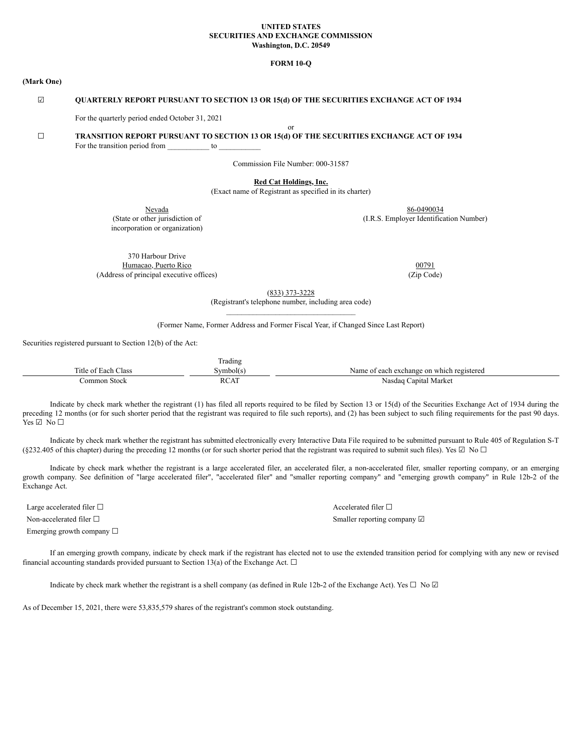### **UNITED STATES SECURITIES AND EXCHANGE COMMISSION Washington, D.C. 20549**

## **FORM 10-Q**

#### **(Mark One)**

# ☑ **QUARTERLY REPORT PURSUANT TO SECTION 13 OR 15(d) OF THE SECURITIES EXCHANGE ACT OF 1934**

For the quarterly period ended October 31, 2021

or

# ☐ **TRANSITION REPORT PURSUANT TO SECTION 13 OR 15(d) OF THE SECURITIES EXCHANGE ACT OF 1934** For the transition period from  $\frac{1}{\sqrt{2\pi}}$  to  $\frac{1}{\sqrt{2\pi}}$

Commission File Number: 000-31587

**Red Cat Holdings, Inc.**

(Exact name of Registrant as specified in its charter)

Nevada<br>
State or other jurisdiction of State or other jurisdiction of (I.R.S. Employer Identification incorporation or organization)

370 Harbour Drive Humacao, Puerto Rico **00791** (Address of principal executive offices) (Zip Code)

(I.R.S. Employer Identification Number)

(833) 373-3228

(Registrant's telephone number, including area code)  $\mathcal{L}_\text{max}$ 

(Former Name, Former Address and Former Fiscal Year, if Changed Since Last Report)

Securities registered pursuant to Section 12(b) of the Act:

|                          | radıng                                   |                                                              |
|--------------------------|------------------------------------------|--------------------------------------------------------------|
| ⊥itle o′<br>lass<br>Each | vmbol(s                                  | v registereg<br>∟which<br>on<br>reach exchange<br>Nam<br>ി 1 |
| Stock<br>`ommon          | . <del>.</del><br>$\overline{ }$<br>reni | Market<br>Japital<br>Nasdag                                  |

Indicate by check mark whether the registrant (1) has filed all reports required to be filed by Section 13 or 15(d) of the Securities Exchange Act of 1934 during the preceding 12 months (or for such shorter period that the registrant was required to file such reports), and (2) has been subject to such filing requirements for the past 90 days.  $Yes \Box No \Box$ 

Indicate by check mark whether the registrant has submitted electronically every Interactive Data File required to be submitted pursuant to Rule 405 of Regulation S-T (§232.405 of this chapter) during the preceding 12 months (or for such shorter period that the registrant was required to submit such files). Yes  $\Box$  No  $\Box$ 

Indicate by check mark whether the registrant is a large accelerated filer, an accelerated filer, a non-accelerated filer, smaller reporting company, or an emerging growth company. See definition of "large accelerated filer", "accelerated filer" and "smaller reporting company" and "emerging growth company" in Rule 12b-2 of the Exchange Act.

Large accelerated filer □ and set of large accelerated filer □ and set of large accelerated filer □

Emerging growth company  $\Box$ 

Non-accelerated filer □ Smaller reporting company ☑ Smaller reporting company ☑ Smaller reporting company ☑

If an emerging growth company, indicate by check mark if the registrant has elected not to use the extended transition period for complying with any new or revised financial accounting standards provided pursuant to Section 13(a) of the Exchange Act.  $\Box$ 

Indicate by check mark whether the registrant is a shell company (as defined in Rule 12b-2 of the Exchange Act). Yes  $\Box$  No  $\Box$ 

As of December 15, 2021, there were 53,835,579 shares of the registrant's common stock outstanding.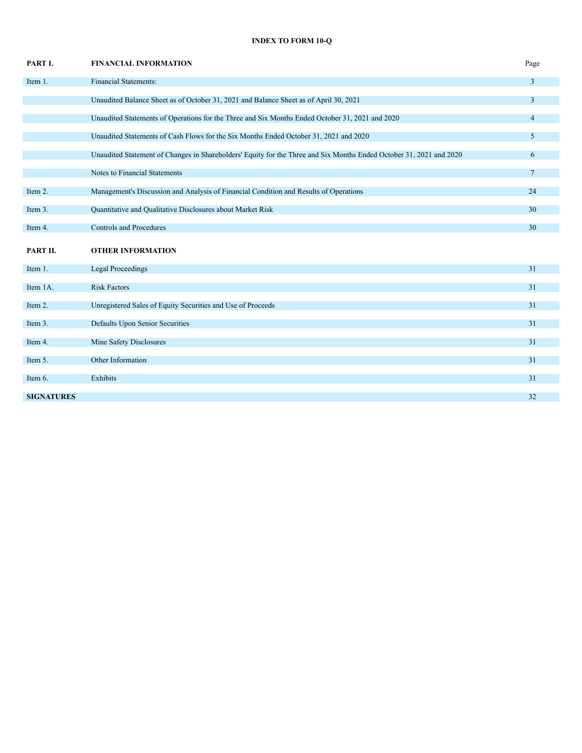# **INDEX TO FORM 10-Q**

| PART I.           | <b>FINANCIAL INFORMATION</b>                                                                                        | Page            |
|-------------------|---------------------------------------------------------------------------------------------------------------------|-----------------|
| Item 1.           | <b>Financial Statements:</b>                                                                                        | $\overline{3}$  |
|                   | Unaudited Balance Sheet as of October 31, 2021 and Balance Sheet as of April 30, 2021                               | $\overline{3}$  |
|                   | Unaudited Statements of Operations for the Three and Six Months Ended October 31, 2021 and 2020                     | $\overline{4}$  |
|                   | Unaudited Statements of Cash Flows for the Six Months Ended October 31, 2021 and 2020                               | 5               |
|                   | Unaudited Statement of Changes in Shareholders' Equity for the Three and Six Months Ended October 31, 2021 and 2020 | 6               |
|                   | Notes to Financial Statements                                                                                       | $7\overline{ }$ |
| Item 2.           | Management's Discussion and Analysis of Financial Condition and Results of Operations                               | 24              |
| Item 3.           | Quantitative and Qualitative Disclosures about Market Risk                                                          | 30              |
| Item 4.           | <b>Controls and Procedures</b>                                                                                      | 30              |
| PART II.          | <b>OTHER INFORMATION</b>                                                                                            |                 |
| Item 1.           | <b>Legal Proceedings</b>                                                                                            | 31              |
| Item 1A.          | <b>Risk Factors</b>                                                                                                 | 31              |
| Item 2.           | Unregistered Sales of Equity Securities and Use of Proceeds                                                         | 31              |
| Item 3.           | Defaults Upon Senior Securities                                                                                     | 31              |
| Item 4.           | Mine Safety Disclosures                                                                                             | 31              |
| Item 5.           | Other Information                                                                                                   | 31              |
| Item 6.           | Exhibits                                                                                                            | 31              |
| <b>SIGNATURES</b> |                                                                                                                     | 32              |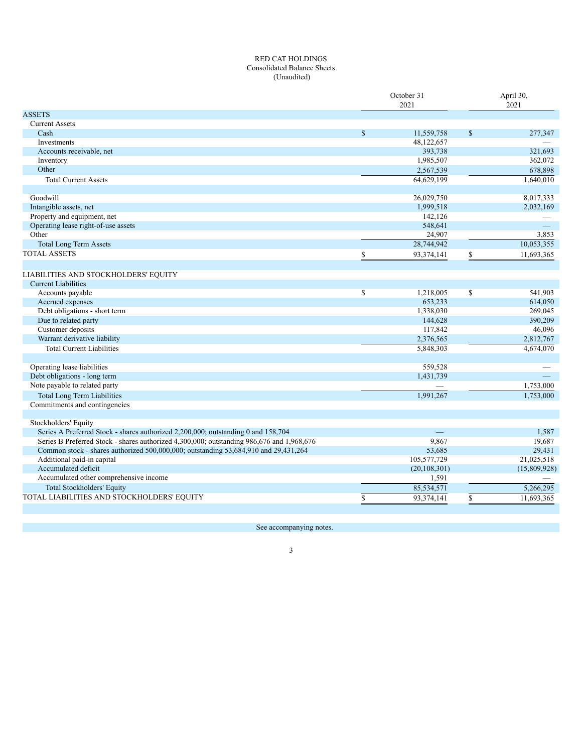# RED CAT HOLDINGS Consolidated Balance Sheets (Unaudited)

|                                                                                           |              | October 31<br>2021 |               | April 30,<br>2021 |
|-------------------------------------------------------------------------------------------|--------------|--------------------|---------------|-------------------|
| <b>ASSETS</b>                                                                             |              |                    |               |                   |
| <b>Current Assets</b>                                                                     |              |                    |               |                   |
| Cash                                                                                      | $\mathbf S$  | 11,559,758         | $\mathcal{S}$ | 277,347           |
| Investments                                                                               |              | 48,122,657         |               |                   |
| Accounts receivable, net                                                                  |              | 393,738            |               | 321,693           |
| Inventory                                                                                 |              | 1,985,507          |               | 362,072           |
| Other                                                                                     |              | 2,567,539          |               | 678,898           |
| <b>Total Current Assets</b>                                                               |              | 64,629,199         |               | 1,640,010         |
| Goodwill                                                                                  |              | 26,029,750         |               | 8,017,333         |
| Intangible assets, net                                                                    |              | 1,999,518          |               | 2,032,169         |
| Property and equipment, net                                                               |              | 142,126            |               |                   |
| Operating lease right-of-use assets                                                       |              | 548,641            |               | $\equiv$          |
| Other                                                                                     |              | 24,907             |               | 3,853             |
| <b>Total Long Term Assets</b>                                                             |              | 28,744,942         |               | 10,053,355        |
| <b>TOTAL ASSETS</b>                                                                       | \$           | 93,374,141         | \$            | 11,693,365        |
|                                                                                           |              |                    |               |                   |
| LIABILITIES AND STOCKHOLDERS' EQUITY                                                      |              |                    |               |                   |
| <b>Current Liabilities</b>                                                                |              |                    |               |                   |
| Accounts payable                                                                          | $\mathbb{S}$ | 1,218,005          | $\mathbf S$   | 541,903           |
| Accrued expenses                                                                          |              | 653,233            |               | 614,050           |
| Debt obligations - short term                                                             |              | 1,338,030          |               | 269,045           |
| Due to related party                                                                      |              | 144,628            |               | 390,209           |
| Customer deposits                                                                         |              | 117,842            |               | 46,096            |
| Warrant derivative liability                                                              |              | 2,376,565          |               | 2,812,767         |
| <b>Total Current Liabilities</b>                                                          |              | 5,848,303          |               | 4,674,070         |
|                                                                                           |              |                    |               |                   |
| Operating lease liabilities                                                               |              | 559,528            |               |                   |
| Debt obligations - long term                                                              |              | 1,431,739          |               |                   |
| Note payable to related party                                                             |              |                    |               | 1,753,000         |
| <b>Total Long Term Liabilities</b>                                                        |              | 1,991,267          |               | 1,753,000         |
| Commitments and contingencies                                                             |              |                    |               |                   |
|                                                                                           |              |                    |               |                   |
| Stockholders' Equity                                                                      |              |                    |               |                   |
| Series A Preferred Stock - shares authorized 2,200,000; outstanding 0 and 158,704         |              |                    |               | 1,587             |
| Series B Preferred Stock - shares authorized 4,300,000; outstanding 986,676 and 1,968,676 |              | 9,867              |               | 19,687            |
| Common stock - shares authorized 500,000,000; outstanding 53,684,910 and 29,431,264       |              | 53,685             |               | 29,431            |
| Additional paid-in capital                                                                |              | 105,577,729        |               | 21,025,518        |
| Accumulated deficit                                                                       |              | (20, 108, 301)     |               | (15,809,928)      |
| Accumulated other comprehensive income                                                    |              | 1,591              |               |                   |
| <b>Total Stockholders' Equity</b>                                                         |              | 85,534,571         |               | 5,266,295         |
| TOTAL LIABILITIES AND STOCKHOLDERS' EQUITY                                                | \$           | 93,374,141         | \$            | 11,693,365        |

See accompanying notes.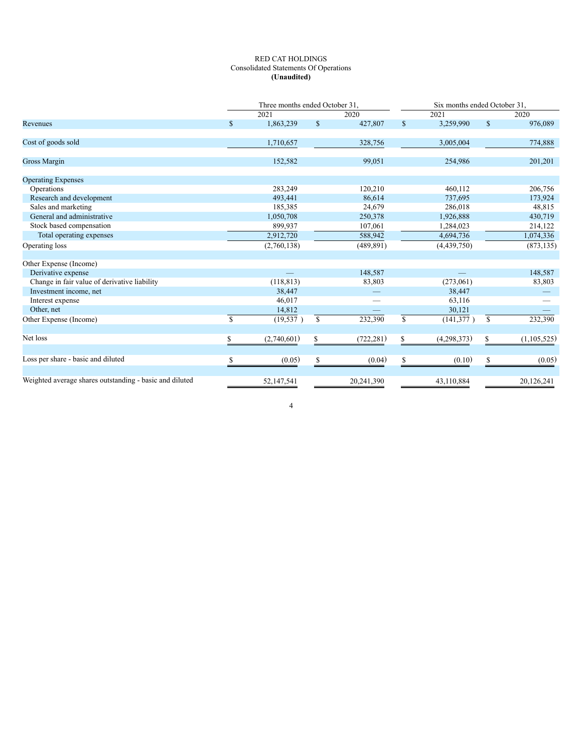# RED CAT HOLDINGS Consolidated Statements Of Operations **(Unaudited)**

|                                                         |             |             | Three months ended October 31.<br>Six months ended October 31. |            |             |             |               |             |  |
|---------------------------------------------------------|-------------|-------------|----------------------------------------------------------------|------------|-------------|-------------|---------------|-------------|--|
|                                                         |             | 2021        |                                                                | 2020       |             | 2021        |               | 2020        |  |
| Revenues                                                | \$          | 1,863,239   | $\mathbb{S}$                                                   | 427,807    | \$          | 3,259,990   | $\mathbb{S}$  | 976,089     |  |
| Cost of goods sold                                      |             | 1,710,657   |                                                                | 328,756    |             | 3,005,004   |               | 774,888     |  |
| Gross Margin                                            |             | 152,582     |                                                                | 99,051     |             | 254,986     |               | 201,201     |  |
| <b>Operating Expenses</b>                               |             |             |                                                                |            |             |             |               |             |  |
| Operations                                              |             | 283,249     |                                                                | 120,210    |             | 460,112     |               | 206,756     |  |
| Research and development                                |             | 493,441     |                                                                | 86,614     |             | 737,695     |               | 173,924     |  |
| Sales and marketing                                     |             | 185,385     |                                                                | 24,679     |             | 286,018     |               | 48,815      |  |
| General and administrative                              |             | 1,050,708   |                                                                | 250,378    |             | 1,926,888   |               | 430,719     |  |
| Stock based compensation                                |             | 899,937     |                                                                | 107,061    |             | 1,284,023   |               | 214,122     |  |
| Total operating expenses                                |             | 2,912,720   |                                                                | 588,942    |             | 4,694,736   |               | 1,074,336   |  |
| Operating loss                                          |             | (2,760,138) |                                                                | (489, 891) |             | (4,439,750) |               | (873, 135)  |  |
| Other Expense (Income)                                  |             |             |                                                                |            |             |             |               |             |  |
| Derivative expense                                      |             |             |                                                                | 148,587    |             |             |               | 148,587     |  |
| Change in fair value of derivative liability            |             | (118, 813)  |                                                                | 83,803     |             | (273,061)   |               | 83,803      |  |
| Investment income, net                                  |             | 38,447      |                                                                |            |             | 38,447      |               |             |  |
| Interest expense                                        |             | 46,017      |                                                                |            |             | 63,116      |               |             |  |
| Other, net                                              |             | 14,812      |                                                                |            |             | 30,121      |               |             |  |
| Other Expense (Income)                                  | $\mathbf S$ | (19, 537)   | $\mathbf S$                                                    | 232,390    | $\mathbf S$ | (141, 377)  | <sup>\$</sup> | 232,390     |  |
| Net loss                                                | S.          | (2,740,601) | S.                                                             | (722, 281) | \$          | (4,298,373) | S.            | (1,105,525) |  |
|                                                         |             |             |                                                                |            |             |             |               |             |  |
| Loss per share - basic and diluted                      | \$          | (0.05)      | \$                                                             | (0.04)     | \$          | (0.10)      | \$            | (0.05)      |  |
| Weighted average shares outstanding - basic and diluted |             | 52,147,541  |                                                                | 20,241,390 |             | 43,110,884  |               | 20,126,241  |  |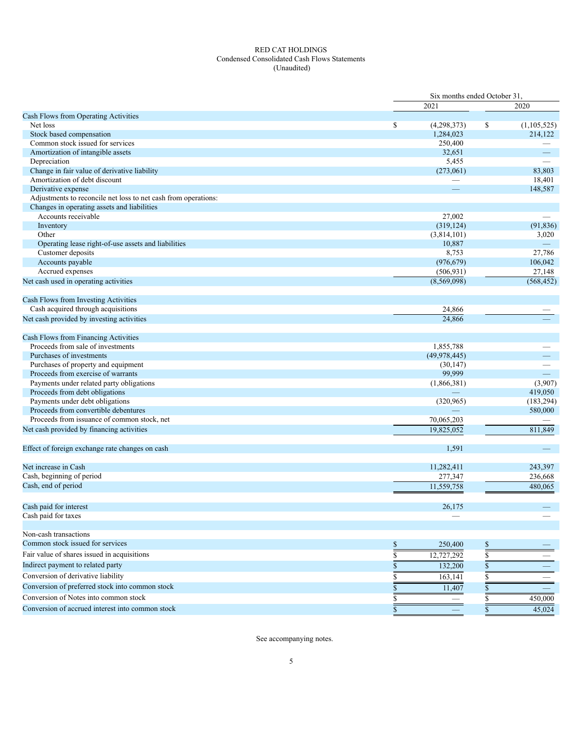# RED CAT HOLDINGS Condensed Consolidated Cash Flows Statements (Unaudited)

|                                                                |              | Six months ended October 31. |    |                          |
|----------------------------------------------------------------|--------------|------------------------------|----|--------------------------|
|                                                                |              | 2021                         |    | 2020                     |
| Cash Flows from Operating Activities                           |              |                              |    |                          |
| Net loss                                                       | \$           | (4,298,373)                  | \$ | (1, 105, 525)            |
| Stock based compensation                                       |              | 1,284,023                    |    | 214,122                  |
| Common stock issued for services                               |              | 250,400                      |    |                          |
| Amortization of intangible assets                              |              | 32,651                       |    | $\overline{\phantom{0}}$ |
| Depreciation                                                   |              | 5,455                        |    |                          |
| Change in fair value of derivative liability                   |              | (273,061)                    |    | 83,803                   |
| Amortization of debt discount                                  |              |                              |    | 18,401                   |
| Derivative expense                                             |              |                              |    | 148,587                  |
| Adjustments to reconcile net loss to net cash from operations: |              |                              |    |                          |
| Changes in operating assets and liabilities                    |              |                              |    |                          |
| Accounts receivable                                            |              | 27,002                       |    |                          |
| Inventory                                                      |              | (319, 124)                   |    | (91, 836)                |
| Other                                                          |              | (3,814,101)                  |    | 3,020                    |
| Operating lease right-of-use assets and liabilities            |              | 10,887                       |    | $\qquad \qquad -$        |
| Customer deposits                                              |              | 8,753                        |    | 27,786                   |
| Accounts payable                                               |              | (976, 679)                   |    | 106,042                  |
| Accrued expenses                                               |              | (506, 931)                   |    | 27,148                   |
| Net cash used in operating activities                          |              | (8,569,098)                  |    | (568, 452)               |
|                                                                |              |                              |    |                          |
| Cash Flows from Investing Activities                           |              |                              |    |                          |
| Cash acquired through acquisitions                             |              | 24,866                       |    |                          |
| Net cash provided by investing activities                      |              | 24,866                       |    |                          |
|                                                                |              |                              |    |                          |
| Cash Flows from Financing Activities                           |              |                              |    |                          |
| Proceeds from sale of investments                              |              | 1,855,788                    |    |                          |
| Purchases of investments                                       |              | (49, 978, 445)               |    |                          |
| Purchases of property and equipment                            |              | (30, 147)                    |    |                          |
| Proceeds from exercise of warrants                             |              | 99,999                       |    |                          |
| Payments under related party obligations                       |              | (1,866,381)                  |    | (3,907)                  |
| Proceeds from debt obligations                                 |              |                              |    | 419,050                  |
| Payments under debt obligations                                |              | (320, 965)                   |    | (183, 294)               |
| Proceeds from convertible debentures                           |              |                              |    | 580,000                  |
| Proceeds from issuance of common stock, net                    |              | 70,065,203                   |    |                          |
| Net cash provided by financing activities                      |              | 19,825,052                   |    | 811,849                  |
|                                                                |              |                              |    |                          |
| Effect of foreign exchange rate changes on cash                |              | 1,591                        |    | $\qquad \qquad -$        |
|                                                                |              |                              |    |                          |
| Net increase in Cash                                           |              | 11,282,411                   |    | 243,397                  |
| Cash, beginning of period                                      |              | 277,347                      |    | 236,668                  |
| Cash, end of period                                            |              |                              |    |                          |
|                                                                |              | 11,559,758                   |    | 480,065                  |
|                                                                |              |                              |    |                          |
| Cash paid for interest                                         |              | 26,175                       |    |                          |
| Cash paid for taxes                                            |              |                              |    |                          |
|                                                                |              |                              |    |                          |
| Non-cash transactions                                          |              |                              |    |                          |
| Common stock issued for services                               | \$           | 250,400                      | \$ |                          |
| Fair value of shares issued in acquisitions                    | \$           | 12,727,292                   | \$ |                          |
| Indirect payment to related party                              | \$           | 132,200                      | \$ |                          |
| Conversion of derivative liability                             | \$           | 163,141                      | \$ |                          |
| Conversion of preferred stock into common stock                |              | 11,407                       |    |                          |
|                                                                | \$           |                              |    |                          |
| Conversion of Notes into common stock                          | \$           |                              |    | 450,000                  |
| Conversion of accrued interest into common stock               | $\mathbb{S}$ |                              | \$ | 45,024                   |

See accompanying notes.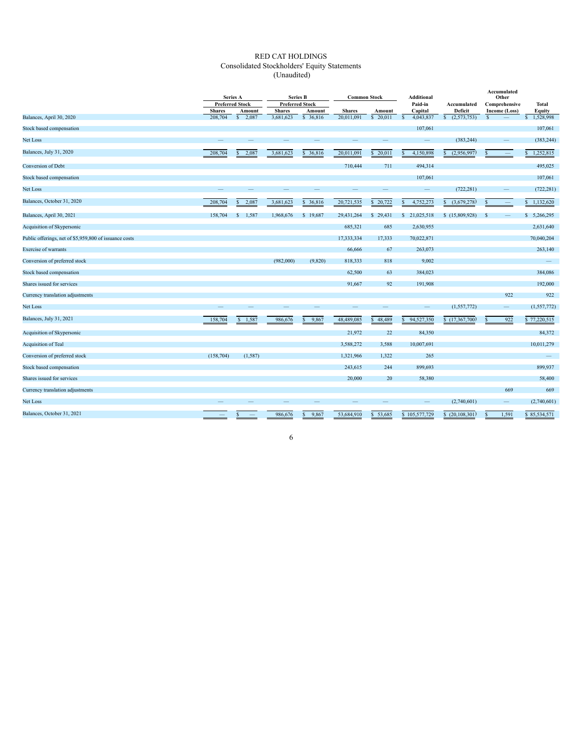# RED CAT HOLDINGS Consolidated Stockholders' Equity Statements (Unaudited)

|                                                        | Series A      |                                  | <b>Series B</b>                         |            |               | <b>Additional</b><br><b>Common Stock</b> |                    | Accumulated<br>Other        |                                |                          |
|--------------------------------------------------------|---------------|----------------------------------|-----------------------------------------|------------|---------------|------------------------------------------|--------------------|-----------------------------|--------------------------------|--------------------------|
|                                                        | <b>Shares</b> | <b>Preferred Stock</b><br>Amount | <b>Preferred Stock</b><br><b>Shares</b> | Amount     | <b>Shares</b> | Amount                                   | Paid-in<br>Capital | Accumulated<br>Deficit      | Comprehensive<br>Income (Loss) | Total<br>Equity          |
| Balances, April 30, 2020                               | 208,704       | 2.087<br><sup>S</sup>            | 3,681,623                               | \$ 36,816  | 20.011.091    | \$ 20.011                                | 4,043,837<br>s     | (2,573,753)<br><sup>S</sup> | $\mathbf{s}$                   | 1,528,998                |
| Stock based compensation                               |               |                                  |                                         |            |               |                                          | 107,061            |                             |                                | 107,061                  |
| Net Loss                                               |               |                                  |                                         |            |               |                                          | $\qquad \qquad -$  | (383, 244)                  |                                | (383, 244)               |
| Balances, July 31, 2020                                | 208,704       | 2,087                            | 3,681,623                               | \$36,816   | 20,011,091    | 20,011<br>S                              | 4,150,898          | (2,956,997)                 | s<br>$\frac{1}{2}$             | 1,252,815                |
| Conversion of Debt                                     |               |                                  |                                         |            | 710,444       | 711                                      | 494,314            |                             |                                | 495,025                  |
| Stock based compensation                               |               |                                  |                                         |            |               |                                          | 107,061            |                             |                                | 107,061                  |
| Net Loss                                               |               |                                  |                                         |            |               |                                          | –                  | (722, 281)                  | $\overline{\phantom{0}}$       | (722, 281)               |
| Balances, October 31, 2020                             | 208,704       | 2,087                            | 3,681,623                               | \$ 36,816  | 20,721,535    | 20,722<br>s.                             | 4,752,273          | (3,679,278)<br>S            |                                | 1,132,620                |
| Balances, April 30, 2021                               | 158,704       | 1.587<br><sup>S</sup>            | 1,968,676                               | \$19,687   | 29,431,264    | 29,431<br>S.                             | 21,025,518<br>s    | \$(15,809,928)              | S                              | \$5,266,295              |
| Acquisition of Skypersonic                             |               |                                  |                                         |            | 685,321       | 685                                      | 2,630,955          |                             |                                | 2,631,640                |
| Public offerings, net of \$5,959,800 of issuance costs |               |                                  |                                         |            | 17,333,334    | 17,333                                   | 70,022,871         |                             |                                | 70,040,204               |
| <b>Exercise</b> of warrants                            |               |                                  |                                         |            | 66,666        | 67                                       | 263,073            |                             |                                | 263,140                  |
| Conversion of preferred stock                          |               |                                  | (982,000)                               | (9,820)    | 818,333       | 818                                      | 9,002              |                             |                                | $\overline{\phantom{0}}$ |
| Stock based compensation                               |               |                                  |                                         |            | 62,500        | 63                                       | 384,023            |                             |                                | 384,086                  |
| Shares issued for services                             |               |                                  |                                         |            | 91,667        | 92                                       | 191,908            |                             |                                | 192,000                  |
| Currency translation adjustments                       |               |                                  |                                         |            |               |                                          |                    |                             | 922                            | 922                      |
| Net Loss                                               |               |                                  |                                         |            |               |                                          | $\qquad \qquad -$  | (1, 557, 772)               | $\qquad \qquad -$              | (1, 557, 772)            |
| Balances, July 31, 2021                                | 158,704       | 1,587<br>s                       | 986,676                                 | 9,867<br>s | 48,489,085    | 48,489<br>S.                             | 94,527,350<br>S    | \$(17,367,700)              | 922<br>S                       | \$77,220,515             |
| Acquisition of Skypersonic                             |               |                                  |                                         |            | 21,972        | 22                                       | 84,350             |                             |                                | 84,372                   |
| Acquisition of Teal                                    |               |                                  |                                         |            | 3,588,272     | 3,588                                    | 10,007,691         |                             |                                | 10,011,279               |
| Conversion of preferred stock                          | (158, 704)    | (1, 587)                         |                                         |            | 1,321,966     | 1,322                                    | 265                |                             |                                | $-$                      |
| Stock based compensation                               |               |                                  |                                         |            | 243,615       | 244                                      | 899,693            |                             |                                | 899,937                  |
| Shares issued for services                             |               |                                  |                                         |            | 20,000        | 20                                       | 58,380             |                             |                                | 58,400                   |
| Currency translation adjustments                       |               |                                  |                                         |            |               |                                          |                    |                             | 669                            | 669                      |
| Net Loss                                               |               |                                  |                                         |            |               |                                          | $\qquad \qquad$    | (2,740,601)                 | $\qquad \qquad -$              | (2,740,601)              |
| Balances, October 31, 2021                             |               | $\overline{\phantom{a}}$         | 986,676                                 | 9,867<br>S | 53,684,910    | 53,685<br>S.                             | \$105,577,729      | (20, 108, 301)<br>S.        | 1,591<br>S                     | \$85,534,571             |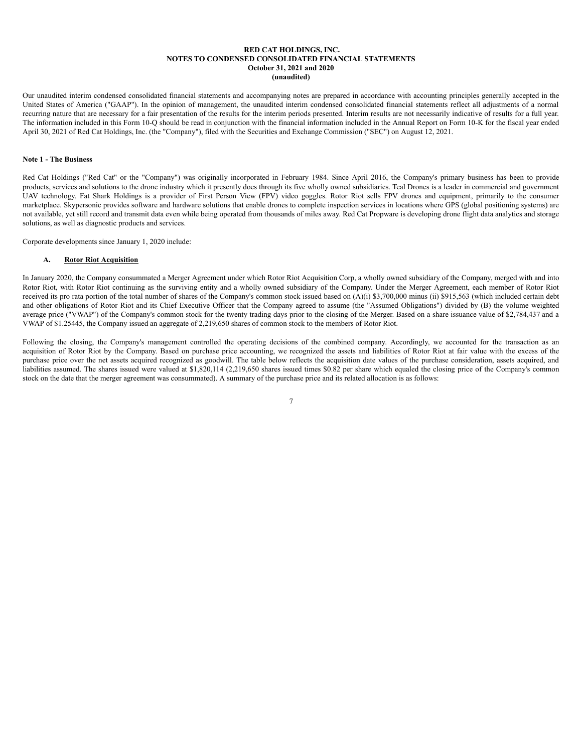### **RED CAT HOLDINGS, INC. NOTES TO CONDENSED CONSOLIDATED FINANCIAL STATEMENTS October 31, 2021 and 2020 (unaudited)**

Our unaudited interim condensed consolidated financial statements and accompanying notes are prepared in accordance with accounting principles generally accepted in the United States of America ("GAAP"). In the opinion of management, the unaudited interim condensed consolidated financial statements reflect all adjustments of a normal recurring nature that are necessary for a fair presentation of the results for the interim periods presented. Interim results are not necessarily indicative of results for a full year. The information included in this Form 10-Q should be read in conjunction with the financial information included in the Annual Report on Form 10-K for the fiscal year ended April 30, 2021 of Red Cat Holdings, Inc. (the "Company"), filed with the Securities and Exchange Commission ("SEC") on August 12, 2021.

### **Note 1 - The Business**

Red Cat Holdings ("Red Cat" or the "Company") was originally incorporated in February 1984. Since April 2016, the Company's primary business has been to provide products, services and solutions to the drone industry which it presently does through its five wholly owned subsidiaries. Teal Drones is a leader in commercial and government UAV technology. Fat Shark Holdings is a provider of First Person View (FPV) video goggles. Rotor Riot sells FPV drones and equipment, primarily to the consumer marketplace. Skypersonic provides software and hardware solutions that enable drones to complete inspection services in locations where GPS (global positioning systems) are not available, yet still record and transmit data even while being operated from thousands of miles away. Red Cat Propware is developing drone flight data analytics and storage solutions, as well as diagnostic products and services.

Corporate developments since January 1, 2020 include:

#### **A. Rotor Riot Acquisition**

In January 2020, the Company consummated a Merger Agreement under which Rotor Riot Acquisition Corp, a wholly owned subsidiary of the Company, merged with and into Rotor Riot, with Rotor Riot continuing as the surviving entity and a wholly owned subsidiary of the Company. Under the Merger Agreement, each member of Rotor Riot received its pro rata portion of the total number of shares of the Company's common stock issued based on (A)(i) \$3,700,000 minus (ii) \$915,563 (which included certain debt and other obligations of Rotor Riot and its Chief Executive Officer that the Company agreed to assume (the "Assumed Obligations") divided by (B) the volume weighted average price ("VWAP") of the Company's common stock for the twenty trading days prior to the closing of the Merger. Based on a share issuance value of \$2,784,437 and a VWAP of \$1.25445, the Company issued an aggregate of 2,219,650 shares of common stock to the members of Rotor Riot.

Following the closing, the Company's management controlled the operating decisions of the combined company. Accordingly, we accounted for the transaction as an acquisition of Rotor Riot by the Company. Based on purchase price accounting, we recognized the assets and liabilities of Rotor Riot at fair value with the excess of the purchase price over the net assets acquired recognized as goodwill. The table below reflects the acquisition date values of the purchase consideration, assets acquired, and liabilities assumed. The shares issued were valued at \$1,820,114 (2,219,650 shares issued times \$0.82 per share which equaled the closing price of the Company's common stock on the date that the merger agreement was consummated). A summary of the purchase price and its related allocation is as follows: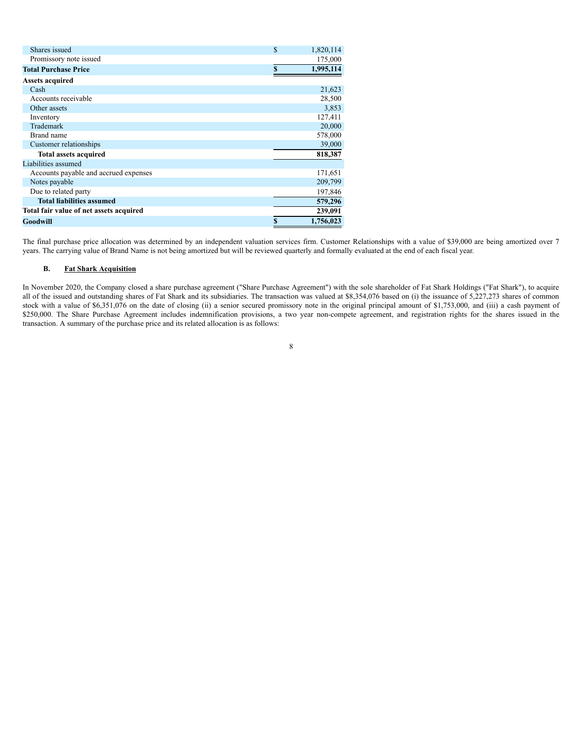| Shares issued                           | $\mathcal{S}$<br>1,820,114 |
|-----------------------------------------|----------------------------|
| Promissory note issued                  | 175,000                    |
| <b>Total Purchase Price</b>             | 1,995,114<br>\$.           |
| <b>Assets acquired</b>                  |                            |
| Cash                                    | 21,623                     |
| Accounts receivable                     | 28,500                     |
| Other assets                            | 3,853                      |
| Inventory                               | 127,411                    |
| Trademark                               | 20,000                     |
| Brand name                              | 578,000                    |
| Customer relationships                  | 39,000                     |
| <b>Total assets acquired</b>            | 818,387                    |
| Liabilities assumed                     |                            |
| Accounts payable and accrued expenses   | 171,651                    |
| Notes payable                           | 209,799                    |
| Due to related party                    | 197,846                    |
| <b>Total liabilities assumed</b>        | 579,296                    |
| Total fair value of net assets acquired | 239,091                    |
| Goodwill                                | \$<br>1,756,023            |

The final purchase price allocation was determined by an independent valuation services firm. Customer Relationships with a value of \$39,000 are being amortized over 7 years. The carrying value of Brand Name is not being amortized but will be reviewed quarterly and formally evaluated at the end of each fiscal year.

# **B. Fat Shark Acquisition**

In November 2020, the Company closed a share purchase agreement ("Share Purchase Agreement") with the sole shareholder of Fat Shark Holdings ("Fat Shark"), to acquire all of the issued and outstanding shares of Fat Shark and its subsidiaries. The transaction was valued at \$8,354,076 based on (i) the issuance of 5,227,273 shares of common stock with a value of \$6,351,076 on the date of closing (ii) a senior secured promissory note in the original principal amount of \$1,753,000, and (iii) a cash payment of \$250,000. The Share Purchase Agreement includes indemnification provisions, a two year non-compete agreement, and registration rights for the shares issued in the transaction. A summary of the purchase price and its related allocation is as follows: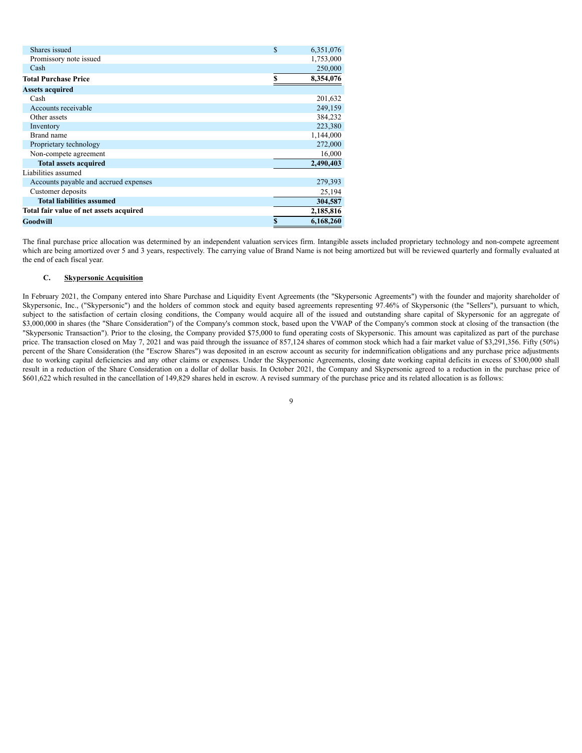| Shares issued                           | $\mathbf{s}$ | 6,351,076 |
|-----------------------------------------|--------------|-----------|
| Promissory note issued                  |              | 1,753,000 |
| Cash                                    |              | 250,000   |
| <b>Total Purchase Price</b>             | \$           | 8,354,076 |
| <b>Assets acquired</b>                  |              |           |
| Cash                                    |              | 201,632   |
| Accounts receivable                     |              | 249,159   |
| Other assets                            |              | 384,232   |
| Inventory                               |              | 223,380   |
| Brand name                              |              | 1,144,000 |
| Proprietary technology                  |              | 272,000   |
| Non-compete agreement                   |              | 16,000    |
| <b>Total assets acquired</b>            |              | 2,490,403 |
| Liabilities assumed                     |              |           |
| Accounts payable and accrued expenses   |              | 279,393   |
| Customer deposits                       |              | 25,194    |
| <b>Total liabilities assumed</b>        |              | 304,587   |
| Total fair value of net assets acquired |              | 2,185,816 |
| Goodwill                                |              | 6,168,260 |

The final purchase price allocation was determined by an independent valuation services firm. Intangible assets included proprietary technology and non-compete agreement which are being amortized over 5 and 3 years, respectively. The carrying value of Brand Name is not being amortized but will be reviewed quarterly and formally evaluated at the end of each fiscal year.

# **C. Skypersonic Acquisition**

In February 2021, the Company entered into Share Purchase and Liquidity Event Agreements (the "Skypersonic Agreements") with the founder and majority shareholder of Skypersonic, Inc., ("Skypersonic") and the holders of common stock and equity based agreements representing 97.46% of Skypersonic (the "Sellers"), pursuant to which, subject to the satisfaction of certain closing conditions, the Company would acquire all of the issued and outstanding share capital of Skypersonic for an aggregate of \$3,000,000 in shares (the "Share Consideration") of the Company's common stock, based upon the VWAP of the Company's common stock at closing of the transaction (the "Skypersonic Transaction"). Prior to the closing, the Company provided \$75,000 to fund operating costs of Skypersonic. This amount was capitalized as part of the purchase price. The transaction closed on May 7, 2021 and was paid through the issuance of 857,124 shares of common stock which had a fair market value of \$3,291,356. Fifty (50%) percent of the Share Consideration (the "Escrow Shares") was deposited in an escrow account as security for indemnification obligations and any purchase price adjustments due to working capital deficiencies and any other claims or expenses. Under the Skypersonic Agreements, closing date working capital deficits in excess of \$300,000 shall result in a reduction of the Share Consideration on a dollar of dollar basis. In October 2021, the Company and Skypersonic agreed to a reduction in the purchase price of \$601,622 which resulted in the cancellation of 149,829 shares held in escrow. A revised summary of the purchase price and its related allocation is as follows: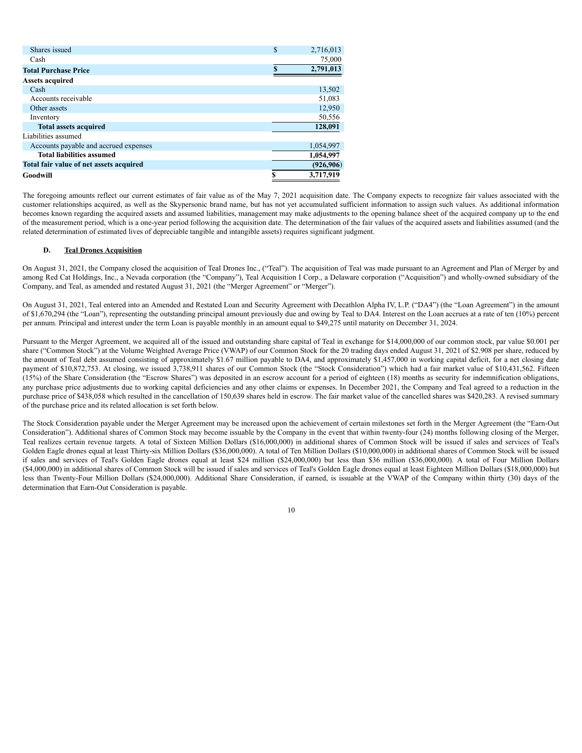| \$<br>2,716,013 |
|-----------------|
| 75,000          |
| 2,791,013       |
|                 |
| 13,502          |
| 51,083          |
| 12,950          |
| 50,556          |
| 128,091         |
|                 |
| 1,054,997       |
| 1,054,997       |
| (926, 906)      |
| \$<br>3,717,919 |
|                 |

The foregoing amounts reflect our current estimates of fair value as of the May 7, 2021 acquisition date. The Company expects to recognize fair values associated with the customer relationships acquired, as well as the Skypersonic brand name, but has not yet accumulated sufficient information to assign such values. As additional information becomes known regarding the acquired assets and assumed liabilities, management may make adjustments to the opening balance sheet of the acquired company up to the end of the measurement period, which is a one-year period following the acquisition date. The determination of the fair values of the acquired assets and liabilities assumed (and the related determination of estimated lives of depreciable tangible and intangible assets) requires significant judgment.

### **D. Teal Drones Acquisition**

On August 31, 2021, the Company closed the acquisition of Teal Drones Inc., ("Teal"). The acquisition of Teal was made pursuant to an Agreement and Plan of Merger by and among Red Cat Holdings, Inc., a Nevada corporation (the "Company"), Teal Acquisition I Corp., a Delaware corporation ("Acquisition") and wholly-owned subsidiary of the Company, and Teal, as amended and restated August 31, 2021 (the "Merger Agreement" or "Merger").

On August 31, 2021, Teal entered into an Amended and Restated Loan and Security Agreement with Decathlon Alpha IV, L.P. ("DA4") (the "Loan Agreement") in the amount of \$1,670,294 (the "Loan"), representing the outstanding principal amount previously due and owing by Teal to DA4. Interest on the Loan accrues at a rate of ten (10%) percent per annum. Principal and interest under the term Loan is payable monthly in an amount equal to \$49,275 until maturity on December 31, 2024.

Pursuant to the Merger Agreement, we acquired all of the issued and outstanding share capital of Teal in exchange for \$14,000,000 of our common stock, par value \$0.001 per share ("Common Stock") at the Volume Weighted Average Price (VWAP) of our Common Stock for the 20 trading days ended August 31, 2021 of \$2.908 per share, reduced by the amount of Teal debt assumed consisting of approximately \$1.67 million payable to DA4, and approximately \$1,457,000 in working capital deficit, for a net closing date payment of \$10,872,753. At closing, we issued 3,738,911 shares of our Common Stock (the "Stock Consideration") which had a fair market value of \$10,431,562. Fifteen (15%) of the Share Consideration (the "Escrow Shares") was deposited in an escrow account for a period of eighteen (18) months as security for indemnification obligations, any purchase price adjustments due to working capital deficiencies and any other claims or expenses. In December 2021, the Company and Teal agreed to a reduction in the purchase price of \$438,058 which resulted in the cancellation of 150,639 shares held in escrow. The fair market value of the cancelled shares was \$420,283. A revised summary of the purchase price and its related allocation is set forth below.

The Stock Consideration payable under the Merger Agreement may be increased upon the achievement of certain milestones set forth in the Merger Agreement (the "Earn-Out Consideration"). Additional shares of Common Stock may become issuable by the Company in the event that within twenty-four (24) months following closing of the Merger, Teal realizes certain revenue targets. A total of Sixteen Million Dollars (\$16,000,000) in additional shares of Common Stock will be issued if sales and services of Teal's Golden Eagle drones equal at least Thirty-six Million Dollars (\$36,000,000). A total of Ten Million Dollars (\$10,000,000) in additional shares of Common Stock will be issued if sales and services of Teal's Golden Eagle drones equal at least \$24 million (\$24,000,000) but less than \$36 million (\$36,000,000). A total of Four Million Dollars (\$4,000,000) in additional shares of Common Stock will be issued if sales and services of Teal's Golden Eagle drones equal at least Eighteen Million Dollars (\$18,000,000) but less than Twenty-Four Million Dollars (\$24,000,000). Additional Share Consideration, if earned, is issuable at the VWAP of the Company within thirty (30) days of the determination that Earn-Out Consideration is payable.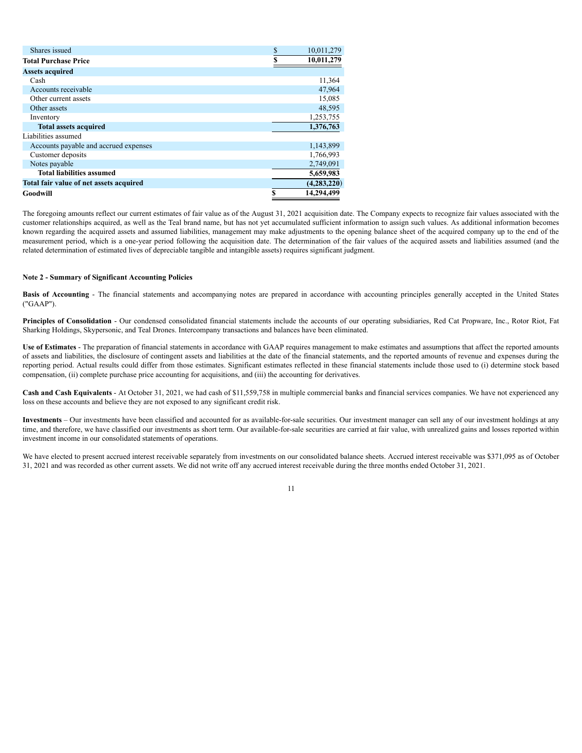| Shares issued                           | \$ | 10,011,279    |
|-----------------------------------------|----|---------------|
| <b>Total Purchase Price</b>             | S  | 10,011,279    |
| <b>Assets acquired</b>                  |    |               |
| Cash                                    |    | 11,364        |
| Accounts receivable                     |    | 47,964        |
| Other current assets                    |    | 15,085        |
| Other assets                            |    | 48,595        |
| Inventory                               |    | 1,253,755     |
| <b>Total assets acquired</b>            |    | 1,376,763     |
| Liabilities assumed                     |    |               |
| Accounts payable and accrued expenses   |    | 1,143,899     |
| Customer deposits                       |    | 1,766,993     |
| Notes payable                           |    | 2,749,091     |
| <b>Total liabilities assumed</b>        |    | 5,659,983     |
| Total fair value of net assets acquired |    | (4, 283, 220) |
| Goodwill                                | \$ | 14,294,499    |

The foregoing amounts reflect our current estimates of fair value as of the August 31, 2021 acquisition date. The Company expects to recognize fair values associated with the customer relationships acquired, as well as the Teal brand name, but has not yet accumulated sufficient information to assign such values. As additional information becomes known regarding the acquired assets and assumed liabilities, management may make adjustments to the opening balance sheet of the acquired company up to the end of the measurement period, which is a one-year period following the acquisition date. The determination of the fair values of the acquired assets and liabilities assumed (and the related determination of estimated lives of depreciable tangible and intangible assets) requires significant judgment.

### **Note 2 - Summary of Significant Accounting Policies**

**Basis of Accounting** - The financial statements and accompanying notes are prepared in accordance with accounting principles generally accepted in the United States ("GAAP").

**Principles of Consolidation** - Our condensed consolidated financial statements include the accounts of our operating subsidiaries, Red Cat Propware, Inc., Rotor Riot, Fat Sharking Holdings, Skypersonic, and Teal Drones. Intercompany transactions and balances have been eliminated.

**Use of Estimates** - The preparation of financial statements in accordance with GAAP requires management to make estimates and assumptions that affect the reported amounts of assets and liabilities, the disclosure of contingent assets and liabilities at the date of the financial statements, and the reported amounts of revenue and expenses during the reporting period. Actual results could differ from those estimates. Significant estimates reflected in these financial statements include those used to (i) determine stock based compensation, (ii) complete purchase price accounting for acquisitions, and (iii) the accounting for derivatives.

**Cash and Cash Equivalents** - At October 31, 2021, we had cash of \$11,559,758 in multiple commercial banks and financial services companies. We have not experienced any loss on these accounts and believe they are not exposed to any significant credit risk.

**Investments** – Our investments have been classified and accounted for as available-for-sale securities. Our investment manager can sell any of our investment holdings at any time, and therefore, we have classified our investments as short term. Our available-for-sale securities are carried at fair value, with unrealized gains and losses reported within investment income in our consolidated statements of operations.

We have elected to present accrued interest receivable separately from investments on our consolidated balance sheets. Accrued interest receivable was \$371,095 as of October 31, 2021 and was recorded as other current assets. We did not write off any accrued interest receivable during the three months ended October 31, 2021.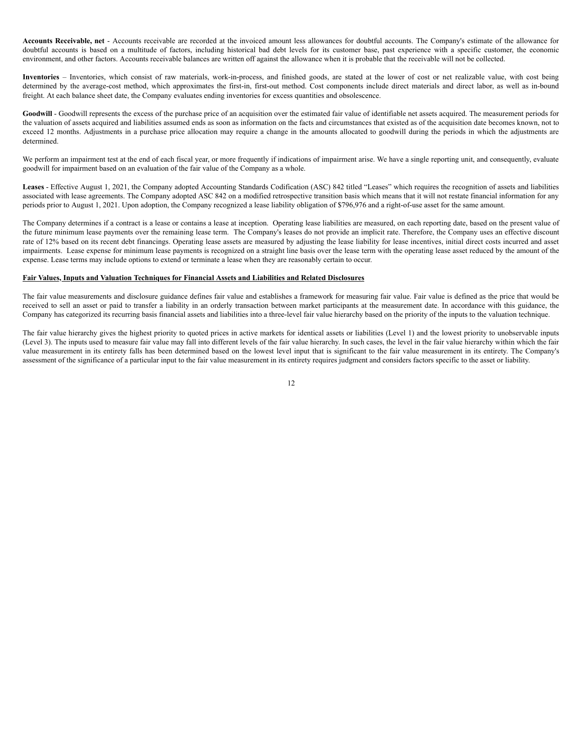**Accounts Receivable, net** - Accounts receivable are recorded at the invoiced amount less allowances for doubtful accounts. The Company's estimate of the allowance for doubtful accounts is based on a multitude of factors, including historical bad debt levels for its customer base, past experience with a specific customer, the economic environment, and other factors. Accounts receivable balances are written off against the allowance when it is probable that the receivable will not be collected.

**Inventories** – Inventories, which consist of raw materials, work-in-process, and finished goods, are stated at the lower of cost or net realizable value, with cost being determined by the average-cost method, which approximates the first-in, first-out method. Cost components include direct materials and direct labor, as well as in-bound freight. At each balance sheet date, the Company evaluates ending inventories for excess quantities and obsolescence.

**Goodwill** - Goodwill represents the excess of the purchase price of an acquisition over the estimated fair value of identifiable net assets acquired. The measurement periods for the valuation of assets acquired and liabilities assumed ends as soon as information on the facts and circumstances that existed as of the acquisition date becomes known, not to exceed 12 months. Adjustments in a purchase price allocation may require a change in the amounts allocated to goodwill during the periods in which the adjustments are determined.

We perform an impairment test at the end of each fiscal year, or more frequently if indications of impairment arise. We have a single reporting unit, and consequently, evaluate goodwill for impairment based on an evaluation of the fair value of the Company as a whole.

**Leases** - Effective August 1, 2021, the Company adopted Accounting Standards Codification (ASC) 842 titled "Leases" which requires the recognition of assets and liabilities associated with lease agreements. The Company adopted ASC 842 on a modified retrospective transition basis which means that it will not restate financial information for any periods prior to August 1, 2021. Upon adoption, the Company recognized a lease liability obligation of \$796,976 and a right-of-use asset for the same amount.

The Company determines if a contract is a lease or contains a lease at inception. Operating lease liabilities are measured, on each reporting date, based on the present value of the future minimum lease payments over the remaining lease term. The Company's leases do not provide an implicit rate. Therefore, the Company uses an effective discount rate of 12% based on its recent debt financings. Operating lease assets are measured by adjusting the lease liability for lease incentives, initial direct costs incurred and asset impairments. Lease expense for minimum lease payments is recognized on a straight line basis over the lease term with the operating lease asset reduced by the amount of the expense. Lease terms may include options to extend or terminate a lease when they are reasonably certain to occur.

# **Fair Values, Inputs and Valuation Techniques for Financial Assets and Liabilities and Related Disclosures**

The fair value measurements and disclosure guidance defines fair value and establishes a framework for measuring fair value. Fair value is defined as the price that would be received to sell an asset or paid to transfer a liability in an orderly transaction between market participants at the measurement date. In accordance with this guidance, the Company has categorized its recurring basis financial assets and liabilities into a three-level fair value hierarchy based on the priority of the inputs to the valuation technique.

The fair value hierarchy gives the highest priority to quoted prices in active markets for identical assets or liabilities (Level 1) and the lowest priority to unobservable inputs (Level 3). The inputs used to measure fair value may fall into different levels of the fair value hierarchy. In such cases, the level in the fair value hierarchy within which the fair value measurement in its entirety falls has been determined based on the lowest level input that is significant to the fair value measurement in its entirety. The Company's assessment of the significance of a particular input to the fair value measurement in its entirety requires judgment and considers factors specific to the asset or liability.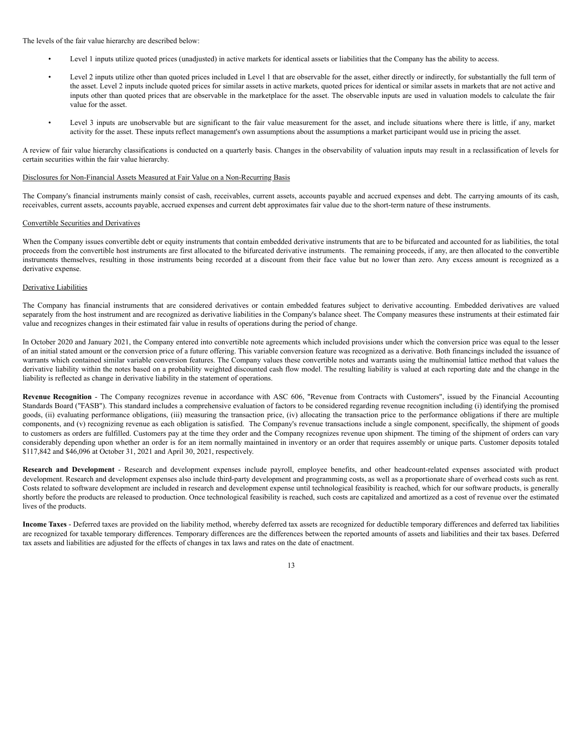The levels of the fair value hierarchy are described below:

- Level 1 inputs utilize quoted prices (unadjusted) in active markets for identical assets or liabilities that the Company has the ability to access.
- Level 2 inputs utilize other than quoted prices included in Level 1 that are observable for the asset, either directly or indirectly, for substantially the full term of the asset. Level 2 inputs include quoted prices for similar assets in active markets, quoted prices for identical or similar assets in markets that are not active and inputs other than quoted prices that are observable in the marketplace for the asset. The observable inputs are used in valuation models to calculate the fair value for the asset.
- Level 3 inputs are unobservable but are significant to the fair value measurement for the asset, and include situations where there is little, if any, market activity for the asset. These inputs reflect management's own assumptions about the assumptions a market participant would use in pricing the asset.

A review of fair value hierarchy classifications is conducted on a quarterly basis. Changes in the observability of valuation inputs may result in a reclassification of levels for certain securities within the fair value hierarchy.

#### Disclosures for Non-Financial Assets Measured at Fair Value on a Non-Recurring Basis

The Company's financial instruments mainly consist of cash, receivables, current assets, accounts payable and accrued expenses and debt. The carrying amounts of its cash, receivables, current assets, accounts payable, accrued expenses and current debt approximates fair value due to the short-term nature of these instruments.

### Convertible Securities and Derivatives

When the Company issues convertible debt or equity instruments that contain embedded derivative instruments that are to be bifurcated and accounted for as liabilities, the total proceeds from the convertible host instruments are first allocated to the bifurcated derivative instruments. The remaining proceeds, if any, are then allocated to the convertible instruments themselves, resulting in those instruments being recorded at a discount from their face value but no lower than zero. Any excess amount is recognized as a derivative expense.

# Derivative Liabilities

The Company has financial instruments that are considered derivatives or contain embedded features subject to derivative accounting. Embedded derivatives are valued separately from the host instrument and are recognized as derivative liabilities in the Company's balance sheet. The Company measures these instruments at their estimated fair value and recognizes changes in their estimated fair value in results of operations during the period of change.

In October 2020 and January 2021, the Company entered into convertible note agreements which included provisions under which the conversion price was equal to the lesser of an initial stated amount or the conversion price of a future offering. This variable conversion feature was recognized as a derivative. Both financings included the issuance of warrants which contained similar variable conversion features. The Company values these convertible notes and warrants using the multinomial lattice method that values the derivative liability within the notes based on a probability weighted discounted cash flow model. The resulting liability is valued at each reporting date and the change in the liability is reflected as change in derivative liability in the statement of operations.

**Revenue Recognition** - The Company recognizes revenue in accordance with ASC 606, "Revenue from Contracts with Customers", issued by the Financial Accounting Standards Board ("FASB"). This standard includes a comprehensive evaluation of factors to be considered regarding revenue recognition including (i) identifying the promised goods, (ii) evaluating performance obligations, (iii) measuring the transaction price, (iv) allocating the transaction price to the performance obligations if there are multiple components, and (v) recognizing revenue as each obligation is satisfied. The Company's revenue transactions include a single component, specifically, the shipment of goods to customers as orders are fulfilled. Customers pay at the time they order and the Company recognizes revenue upon shipment. The timing of the shipment of orders can vary considerably depending upon whether an order is for an item normally maintained in inventory or an order that requires assembly or unique parts. Customer deposits totaled \$117,842 and \$46,096 at October 31, 2021 and April 30, 2021, respectively.

**Research and Development** - Research and development expenses include payroll, employee benefits, and other headcount-related expenses associated with product development. Research and development expenses also include third-party development and programming costs, as well as a proportionate share of overhead costs such as rent. Costs related to software development are included in research and development expense until technological feasibility is reached, which for our software products, is generally shortly before the products are released to production. Once technological feasibility is reached, such costs are capitalized and amortized as a cost of revenue over the estimated lives of the products.

**Income Taxes** - Deferred taxes are provided on the liability method, whereby deferred tax assets are recognized for deductible temporary differences and deferred tax liabilities are recognized for taxable temporary differences. Temporary differences are the differences between the reported amounts of assets and liabilities and their tax bases. Deferred tax assets and liabilities are adjusted for the effects of changes in tax laws and rates on the date of enactment.

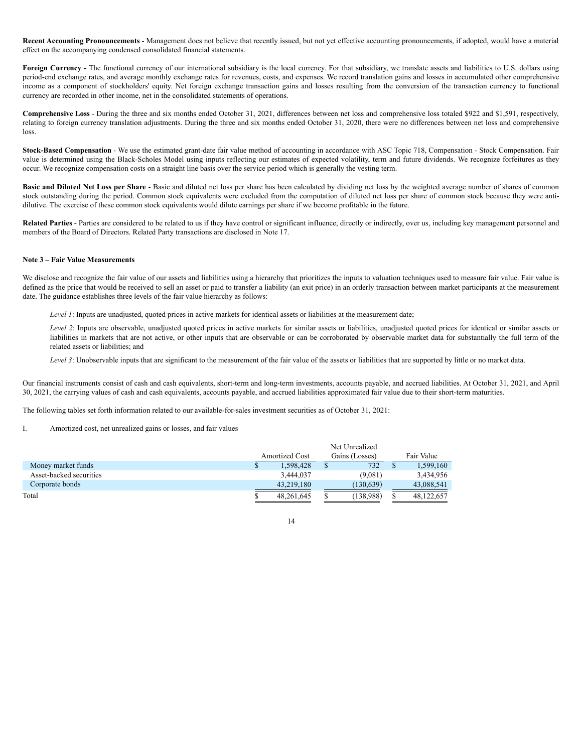**Recent Accounting Pronouncements** - Management does not believe that recently issued, but not yet effective accounting pronouncements, if adopted, would have a material effect on the accompanying condensed consolidated financial statements.

**Foreign Currency** - The functional currency of our international subsidiary is the local currency. For that subsidiary, we translate assets and liabilities to U.S. dollars using period-end exchange rates, and average monthly exchange rates for revenues, costs, and expenses. We record translation gains and losses in accumulated other comprehensive income as a component of stockholders' equity. Net foreign exchange transaction gains and losses resulting from the conversion of the transaction currency to functional currency are recorded in other income, net in the consolidated statements of operations.

**Comprehensive Loss** - During the three and six months ended October 31, 2021, differences between net loss and comprehensive loss totaled \$922 and \$1,591, respectively, relating to foreign currency translation adjustments. During the three and six months ended October 31, 2020, there were no differences between net loss and comprehensive loss.

**Stock-Based Compensation** - We use the estimated grant-date fair value method of accounting in accordance with ASC Topic 718, Compensation - Stock Compensation. Fair value is determined using the Black-Scholes Model using inputs reflecting our estimates of expected volatility, term and future dividends. We recognize forfeitures as they occur. We recognize compensation costs on a straight line basis over the service period which is generally the vesting term.

**Basic and Diluted Net Loss per Share** - Basic and diluted net loss per share has been calculated by dividing net loss by the weighted average number of shares of common stock outstanding during the period. Common stock equivalents were excluded from the computation of diluted net loss per share of common stock because they were antidilutive. The exercise of these common stock equivalents would dilute earnings per share if we become profitable in the future.

**Related Parties** - Parties are considered to be related to us if they have control or significant influence, directly or indirectly, over us, including key management personnel and members of the Board of Directors. Related Party transactions are disclosed in Note 17.

# **Note 3 – Fair Value Measurements**

We disclose and recognize the fair value of our assets and liabilities using a hierarchy that prioritizes the inputs to valuation techniques used to measure fair value. Fair value is defined as the price that would be received to sell an asset or paid to transfer a liability (an exit price) in an orderly transaction between market participants at the measurement date. The guidance establishes three levels of the fair value hierarchy as follows:

*Level 1*: Inputs are unadjusted, quoted prices in active markets for identical assets or liabilities at the measurement date;

*Level 2*: Inputs are observable, unadjusted quoted prices in active markets for similar assets or liabilities, unadjusted quoted prices for identical or similar assets or liabilities in markets that are not active, or other inputs that are observable or can be corroborated by observable market data for substantially the full term of the related assets or liabilities; and

*Level 3*: Unobservable inputs that are significant to the measurement of the fair value of the assets or liabilities that are supported by little or no market data.

Our financial instruments consist of cash and cash equivalents, short-term and long-term investments, accounts payable, and accrued liabilities. At October 31, 2021, and April 30, 2021, the carrying values of cash and cash equivalents, accounts payable, and accrued liabilities approximated fair value due to their short-term maturities.

14

The following tables set forth information related to our available-for-sales investment securities as of October 31, 2021:

I. Amortized cost, net unrealized gains or losses, and fair values

| Net Unrealized |                       |            |                |            |  |  |
|----------------|-----------------------|------------|----------------|------------|--|--|
|                |                       |            |                | Fair Value |  |  |
| 1.598.428      |                       | 732        |                | 1,599,160  |  |  |
| 3.444.037      |                       | (9.081)    |                | 3,434,956  |  |  |
| 43,219,180     |                       | (130, 639) |                | 43,088,541 |  |  |
| 48,261,645     |                       | (138.988)  |                | 48,122,657 |  |  |
|                | <b>Amortized Cost</b> |            | Gains (Losses) |            |  |  |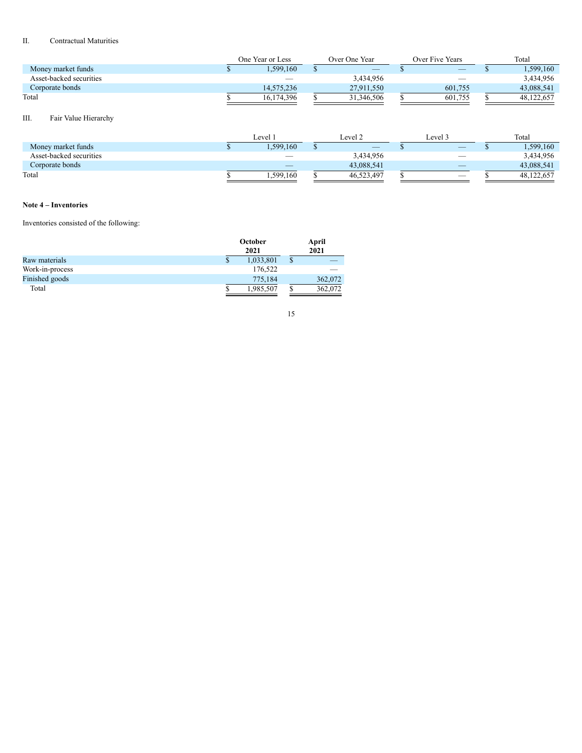# II. Contractual Maturities

|                         | Over Five Years<br>One Year or Less<br>Over One Year |  | Total      |         |  |            |
|-------------------------|------------------------------------------------------|--|------------|---------|--|------------|
| Money market funds      | .599.160                                             |  |            |         |  | .599,160   |
| Asset-backed securities |                                                      |  | 3,434,956  |         |  | 3,434,956  |
| Corporate bonds         | 14.575.236                                           |  | 27,911,550 | 601,755 |  | 43,088,541 |
| Total                   | 16.174.396                                           |  | 31,346,506 | 601,755 |  | 48.122.657 |

# III. Fair Value Hierarchy

|                         | Level     | Level 2    | Level 3 | Total      |
|-------------------------|-----------|------------|---------|------------|
| Money market funds      | 1,599,160 |            | _       | .599,160   |
| Asset-backed securities |           | 3,434,956  |         | 3,434,956  |
| Corporate bonds         |           | 43.088.541 |         | 43.088.541 |
| Total                   | 1,599,160 | 46,523,497 | __      | 48.122.657 |

# **Note 4 – Inventories**

# Inventories consisted of the following:

|                 | October<br>2021 |    |         |
|-----------------|-----------------|----|---------|
| Raw materials   | \$<br>1,033,801 | \$ |         |
| Work-in-process | 176,522         |    |         |
| Finished goods  | 775,184         |    | 362,072 |
| Total           | 1,985,507       |    | 362,072 |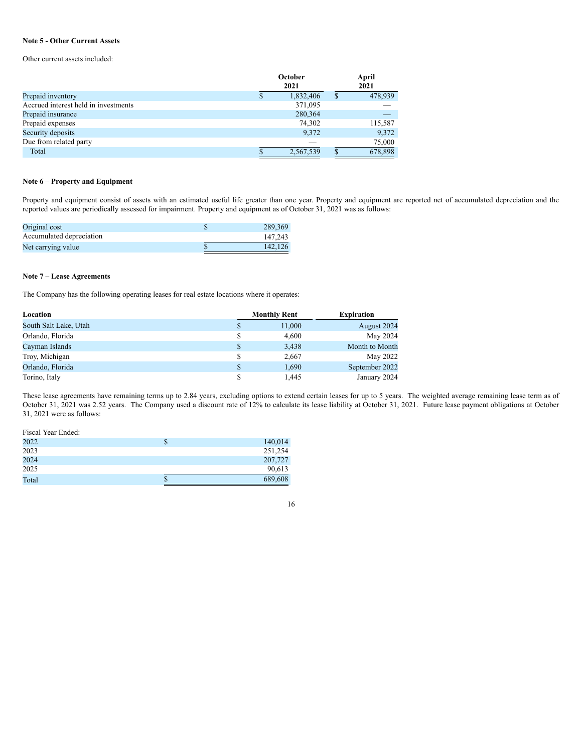# **Note 5 - Other Current Assets**

Other current assets included:

|                                      | October<br>2021 |           |  | April<br>2021 |  |  |
|--------------------------------------|-----------------|-----------|--|---------------|--|--|
| Prepaid inventory                    |                 | 1,832,406 |  | 478,939       |  |  |
| Accrued interest held in investments |                 | 371,095   |  |               |  |  |
| Prepaid insurance                    |                 | 280,364   |  |               |  |  |
| Prepaid expenses                     |                 | 74,302    |  | 115,587       |  |  |
| Security deposits                    |                 | 9,372     |  | 9,372         |  |  |
| Due from related party               |                 |           |  | 75,000        |  |  |
| Total                                |                 | 2,567,539 |  | 678,898       |  |  |

# **Note 6 – Property and Equipment**

Property and equipment consist of assets with an estimated useful life greater than one year. Property and equipment are reported net of accumulated depreciation and the reported values are periodically assessed for impairment. Property and equipment as of October 31, 2021 was as follows:

| Original cost            | 289.369 |
|--------------------------|---------|
| Accumulated depreciation | 147.243 |
| Net carrying value       | 142.126 |

# **Note 7 – Lease Agreements**

The Company has the following operating leases for real estate locations where it operates:

| Location              | <b>Monthly Rent</b> | <b>Expiration</b> |
|-----------------------|---------------------|-------------------|
| South Salt Lake, Utah | 11,000              | August 2024       |
| Orlando, Florida      | 4,600               | May 2024          |
| Cayman Islands        | 3,438               | Month to Month    |
| Troy, Michigan        | 2,667               | May 2022          |
| Orlando, Florida      | 1,690               | September 2022    |
| Torino, Italy         | 1,445               | January 2024      |

These lease agreements have remaining terms up to 2.84 years, excluding options to extend certain leases for up to 5 years. The weighted average remaining lease term as of October 31, 2021 was 2.52 years. The Company used a discount rate of 12% to calculate its lease liability at October 31, 2021. Future lease payment obligations at October 31, 2021 were as follows:

| Fiscal Year Ended: |               |
|--------------------|---------------|
| 2022               | \$<br>140,014 |
| 2023               | 251,254       |
| 2024               | 207,727       |
| 2025               | 90,613        |
| Total              | 689,608       |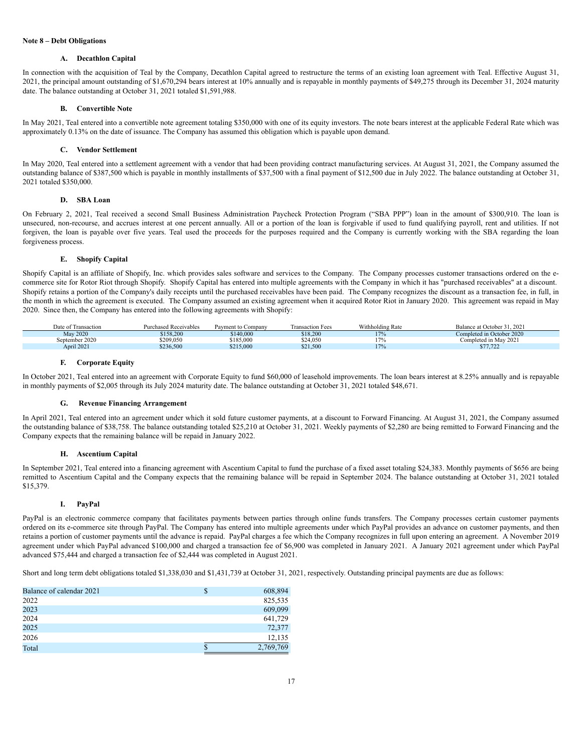# **Note 8 – Debt Obligations**

### **A. Decathlon Capital**

In connection with the acquisition of Teal by the Company, Decathlon Capital agreed to restructure the terms of an existing loan agreement with Teal. Effective August 31, 2021, the principal amount outstanding of \$1,670,294 bears interest at 10% annually and is repayable in monthly payments of \$49,275 through its December 31, 2024 maturity date. The balance outstanding at October 31, 2021 totaled \$1,591,988.

# **B. Convertible Note**

In May 2021, Teal entered into a convertible note agreement totaling \$350,000 with one of its equity investors. The note bears interest at the applicable Federal Rate which was approximately 0.13% on the date of issuance. The Company has assumed this obligation which is payable upon demand.

### **C. Vendor Settlement**

In May 2020, Teal entered into a settlement agreement with a vendor that had been providing contract manufacturing services. At August 31, 2021, the Company assumed the outstanding balance of \$387,500 which is payable in monthly installments of \$37,500 with a final payment of \$12,500 due in July 2022. The balance outstanding at October 31, 2021 totaled \$350,000.

### **D. SBA Loan**

On February 2, 2021, Teal received a second Small Business Administration Paycheck Protection Program ("SBA PPP") loan in the amount of \$300,910. The loan is unsecured, non-recourse, and accrues interest at one percent annually. All or a portion of the loan is forgivable if used to fund qualifying payroll, rent and utilities. If not forgiven, the loan is payable over five years. Teal used the proceeds for the purposes required and the Company is currently working with the SBA regarding the loan forgiveness process.

### **E. Shopify Capital**

Shopify Capital is an affiliate of Shopify, Inc. which provides sales software and services to the Company. The Company processes customer transactions ordered on the ecommerce site for Rotor Riot through Shopify. Shopify Capital has entered into multiple agreements with the Company in which it has "purchased receivables" at a discount. Shopify retains a portion of the Company's daily receipts until the purchased receivables have been paid. The Company recognizes the discount as a transaction fee, in full, in the month in which the agreement is executed. The Company assumed an existing agreement when it acquired Rotor Riot in January 2020. This agreement was repaid in May 2020. Since then, the Company has entered into the following agreements with Shopify:

| Date of Transaction | <b>Purchased Receivables</b> | Payment to Company | Fransaction Fees | Withholding Rate | Balance at October 31, 2021 |
|---------------------|------------------------------|--------------------|------------------|------------------|-----------------------------|
| May 2020            | \$158,200                    | \$140,000          | \$18,200         | 17%              | Completed in October 2020   |
| September 2020      | \$209.050                    | \$185.000          | \$24.050         | 70.              | Completed in May 2021       |
| April 2021          | \$236,500                    | \$215,000          | \$21,500         | 17%              | 077700<br>J11.122           |

#### **F. Corporate Equity**

In October 2021, Teal entered into an agreement with Corporate Equity to fund \$60,000 of leasehold improvements. The loan bears interest at 8.25% annually and is repayable in monthly payments of \$2,005 through its July 2024 maturity date. The balance outstanding at October 31, 2021 totaled \$48,671.

### **G. Revenue Financing Arrangement**

In April 2021, Teal entered into an agreement under which it sold future customer payments, at a discount to Forward Financing. At August 31, 2021, the Company assumed the outstanding balance of \$38,758. The balance outstanding totaled \$25,210 at October 31, 2021. Weekly payments of \$2,280 are being remitted to Forward Financing and the Company expects that the remaining balance will be repaid in January 2022.

#### **H. Ascentium Capital**

In September 2021, Teal entered into a financing agreement with Ascentium Capital to fund the purchase of a fixed asset totaling \$24,383. Monthly payments of \$656 are being remitted to Ascentium Capital and the Company expects that the remaining balance will be repaid in September 2024. The balance outstanding at October 31, 2021 totaled \$15,379.

#### **I. PayPal**

PayPal is an electronic commerce company that facilitates payments between parties through online funds transfers. The Company processes certain customer payments ordered on its e-commerce site through PayPal. The Company has entered into multiple agreements under which PayPal provides an advance on customer payments, and then retains a portion of customer payments until the advance is repaid. PayPal charges a fee which the Company recognizes in full upon entering an agreement. A November 2019 agreement under which PayPal advanced \$100,000 and charged a transaction fee of \$6,900 was completed in January 2021. A January 2021 agreement under which PayPal advanced \$75,444 and charged a transaction fee of \$2,444 was completed in August 2021.

Short and long term debt obligations totaled \$1,338,030 and \$1,431,739 at October 31, 2021, respectively. Outstanding principal payments are due as follows:

| Balance of calendar 2021 | \$<br>608,894 |
|--------------------------|---------------|
| 2022                     | 825,535       |
| 2023                     | 609,099       |
| 2024                     | 641,729       |
| 2025                     | 72,377        |
| 2026                     | 12,135        |
| Total                    | 2,769,769     |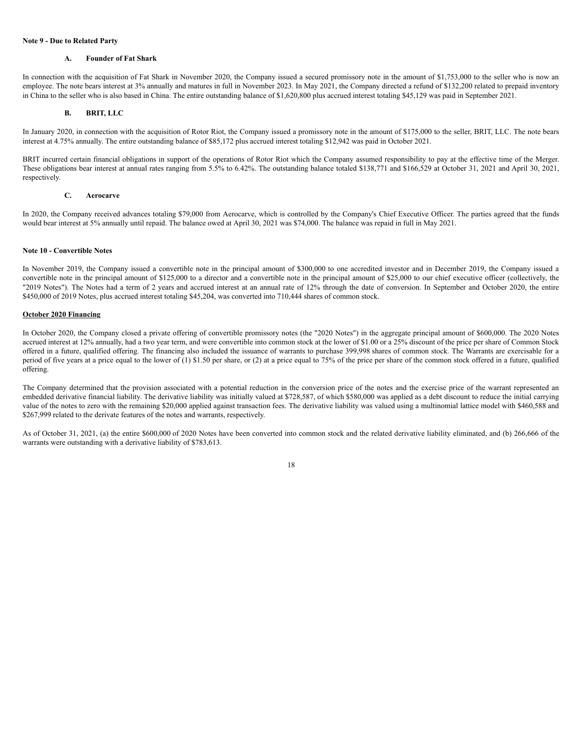# **Note 9 - Due to Related Party**

# **A. Founder of Fat Shark**

In connection with the acquisition of Fat Shark in November 2020, the Company issued a secured promissory note in the amount of \$1,753,000 to the seller who is now an employee. The note bears interest at 3% annually and matures in full in November 2023. In May 2021, the Company directed a refund of \$132,200 related to prepaid inventory in China to the seller who is also based in China. The entire outstanding balance of \$1,620,800 plus accrued interest totaling \$45,129 was paid in September 2021.

### **B. BRIT, LLC**

In January 2020, in connection with the acquisition of Rotor Riot, the Company issued a promissory note in the amount of \$175,000 to the seller, BRIT, LLC. The note bears interest at 4.75% annually. The entire outstanding balance of \$85,172 plus accrued interest totaling \$12,942 was paid in October 2021.

BRIT incurred certain financial obligations in support of the operations of Rotor Riot which the Company assumed responsibility to pay at the effective time of the Merger. These obligations bear interest at annual rates ranging from 5.5% to 6.42%. The outstanding balance totaled \$138,771 and \$166,529 at October 31, 2021 and April 30, 2021, respectively.

## **C. Aerocarve**

In 2020, the Company received advances totaling \$79,000 from Aerocarve, which is controlled by the Company's Chief Executive Officer. The parties agreed that the funds would bear interest at 5% annually until repaid. The balance owed at April 30, 2021 was \$74,000. The balance was repaid in full in May 2021.

#### **Note 10 - Convertible Notes**

In November 2019, the Company issued a convertible note in the principal amount of \$300,000 to one accredited investor and in December 2019, the Company issued a convertible note in the principal amount of \$125,000 to a director and a convertible note in the principal amount of \$25,000 to our chief executive officer (collectively, the "2019 Notes"). The Notes had a term of 2 years and accrued interest at an annual rate of 12% through the date of conversion. In September and October 2020, the entire \$450,000 of 2019 Notes, plus accrued interest totaling \$45,204, was converted into 710,444 shares of common stock.

### **October 2020 Financing**

In October 2020, the Company closed a private offering of convertible promissory notes (the "2020 Notes") in the aggregate principal amount of \$600,000. The 2020 Notes accrued interest at 12% annually, had a two year term, and were convertible into common stock at the lower of \$1.00 or a 25% discount of the price per share of Common Stock offered in a future, qualified offering. The financing also included the issuance of warrants to purchase 399,998 shares of common stock. The Warrants are exercisable for a period of five years at a price equal to the lower of (1) \$1.50 per share, or (2) at a price equal to 75% of the price per share of the common stock offered in a future, qualified offering.

The Company determined that the provision associated with a potential reduction in the conversion price of the notes and the exercise price of the warrant represented an embedded derivative financial liability. The derivative liability was initially valued at \$728,587, of which \$580,000 was applied as a debt discount to reduce the initial carrying value of the notes to zero with the remaining \$20,000 applied against transaction fees. The derivative liability was valued using a multinomial lattice model with \$460,588 and \$267,999 related to the derivate features of the notes and warrants, respectively.

As of October 31, 2021, (a) the entire \$600,000 of 2020 Notes have been converted into common stock and the related derivative liability eliminated, and (b) 266,666 of the warrants were outstanding with a derivative liability of \$783,613.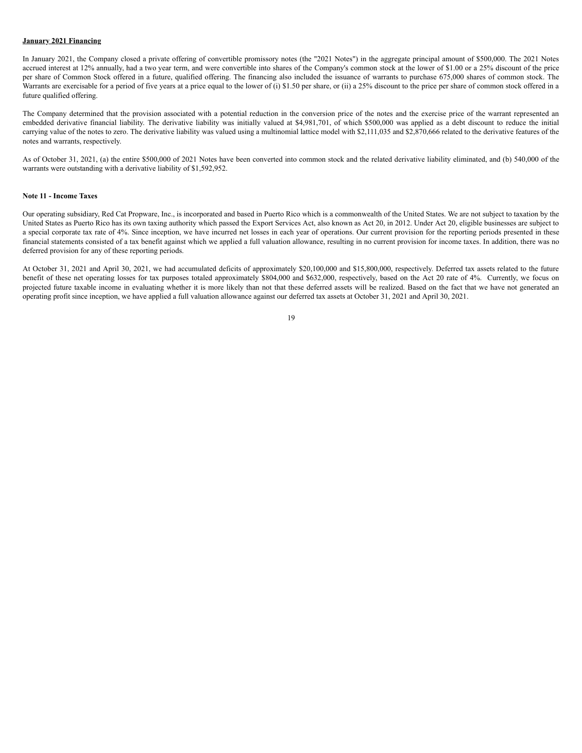# **January 2021 Financing**

In January 2021, the Company closed a private offering of convertible promissory notes (the "2021 Notes") in the aggregate principal amount of \$500,000. The 2021 Notes accrued interest at 12% annually, had a two year term, and were convertible into shares of the Company's common stock at the lower of \$1.00 or a 25% discount of the price per share of Common Stock offered in a future, qualified offering. The financing also included the issuance of warrants to purchase 675,000 shares of common stock. The Warrants are exercisable for a period of five years at a price equal to the lower of (i) \$1.50 per share, or (ii) a 25% discount to the price per share of common stock offered in a future qualified offering.

The Company determined that the provision associated with a potential reduction in the conversion price of the notes and the exercise price of the warrant represented an embedded derivative financial liability. The derivative liability was initially valued at \$4,981,701, of which \$500,000 was applied as a debt discount to reduce the initial carrying value of the notes to zero. The derivative liability was valued using a multinomial lattice model with \$2,111,035 and \$2,870,666 related to the derivative features of the notes and warrants, respectively.

As of October 31, 2021, (a) the entire \$500,000 of 2021 Notes have been converted into common stock and the related derivative liability eliminated, and (b) 540,000 of the warrants were outstanding with a derivative liability of \$1,592,952.

#### **Note 11 - Income Taxes**

Our operating subsidiary, Red Cat Propware, Inc., is incorporated and based in Puerto Rico which is a commonwealth of the United States. We are not subject to taxation by the United States as Puerto Rico has its own taxing authority which passed the Export Services Act, also known as Act 20, in 2012. Under Act 20, eligible businesses are subject to a special corporate tax rate of 4%. Since inception, we have incurred net losses in each year of operations. Our current provision for the reporting periods presented in these financial statements consisted of a tax benefit against which we applied a full valuation allowance, resulting in no current provision for income taxes. In addition, there was no deferred provision for any of these reporting periods.

At October 31, 2021 and April 30, 2021, we had accumulated deficits of approximately \$20,100,000 and \$15,800,000, respectively. Deferred tax assets related to the future benefit of these net operating losses for tax purposes totaled approximately \$804,000 and \$632,000, respectively, based on the Act 20 rate of 4%. Currently, we focus on projected future taxable income in evaluating whether it is more likely than not that these deferred assets will be realized. Based on the fact that we have not generated an operating profit since inception, we have applied a full valuation allowance against our deferred tax assets at October 31, 2021 and April 30, 2021.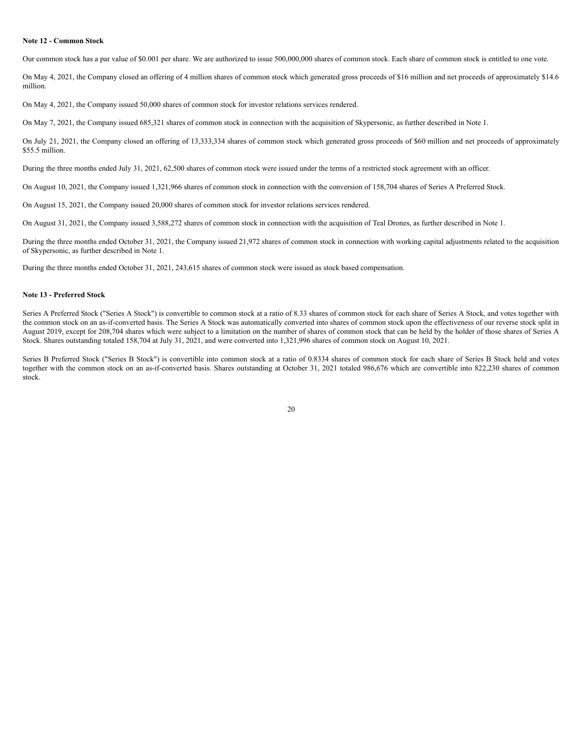# **Note 12 - Common Stock**

Our common stock has a par value of \$0.001 per share. We are authorized to issue 500,000,000 shares of common stock. Each share of common stock is entitled to one vote.

On May 4, 2021, the Company closed an offering of 4 million shares of common stock which generated gross proceeds of \$16 million and net proceeds of approximately \$14.6 million.

On May 4, 2021, the Company issued 50,000 shares of common stock for investor relations services rendered.

On May 7, 2021, the Company issued 685,321 shares of common stock in connection with the acquisition of Skypersonic, as further described in Note 1.

On July 21, 2021, the Company closed an offering of 13,333,334 shares of common stock which generated gross proceeds of \$60 million and net proceeds of approximately \$55.5 million.

During the three months ended July 31, 2021, 62,500 shares of common stock were issued under the terms of a restricted stock agreement with an officer.

On August 10, 2021, the Company issued 1,321,966 shares of common stock in connection with the conversion of 158,704 shares of Series A Preferred Stock.

On August 15, 2021, the Company issued 20,000 shares of common stock for investor relations services rendered.

On August 31, 2021, the Company issued 3,588,272 shares of common stock in connection with the acquisition of Teal Drones, as further described in Note 1.

During the three months ended October 31, 2021, the Company issued 21,972 shares of common stock in connection with working capital adjustments related to the acquisition of Skypersonic, as further described in Note 1.

During the three months ended October 31, 2021, 243,615 shares of common stock were issued as stock based compensation.

## **Note 13 - Preferred Stock**

Series A Preferred Stock ("Series A Stock") is convertible to common stock at a ratio of 8.33 shares of common stock for each share of Series A Stock, and votes together with the common stock on an as-if-converted basis. The Series A Stock was automatically converted into shares of common stock upon the effectiveness of our reverse stock split in August 2019, except for 208,704 shares which were subject to a limitation on the number of shares of common stock that can be held by the holder of those shares of Series A Stock. Shares outstanding totaled 158,704 at July 31, 2021, and were converted into 1,321,996 shares of common stock on August 10, 2021.

Series B Preferred Stock ("Series B Stock") is convertible into common stock at a ratio of 0.8334 shares of common stock for each share of Series B Stock held and votes together with the common stock on an as-if-converted basis. Shares outstanding at October 31, 2021 totaled 986,676 which are convertible into 822,230 shares of common stock.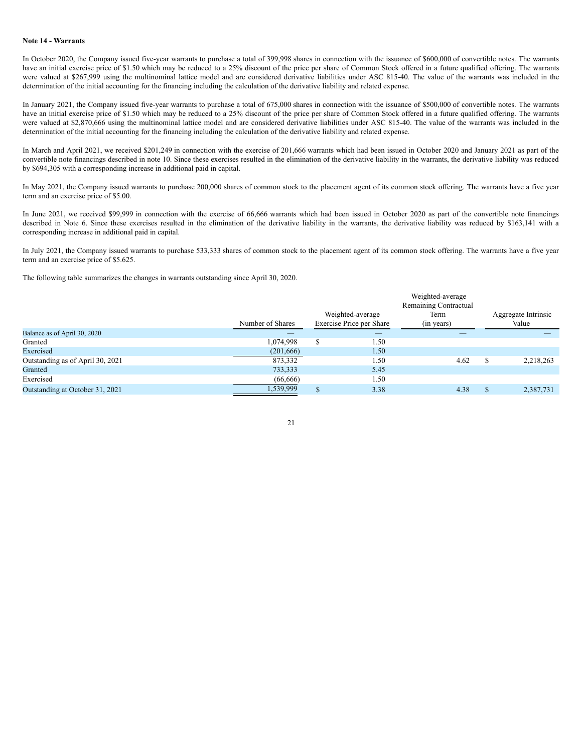# **Note 14 - Warrants**

In October 2020, the Company issued five-year warrants to purchase a total of 399,998 shares in connection with the issuance of \$600,000 of convertible notes. The warrants have an initial exercise price of \$1.50 which may be reduced to a 25% discount of the price per share of Common Stock offered in a future qualified offering. The warrants were valued at \$267,999 using the multinominal lattice model and are considered derivative liabilities under ASC 815-40. The value of the warrants was included in the determination of the initial accounting for the financing including the calculation of the derivative liability and related expense.

In January 2021, the Company issued five-year warrants to purchase a total of 675,000 shares in connection with the issuance of \$500,000 of convertible notes. The warrants have an initial exercise price of \$1.50 which may be reduced to a 25% discount of the price per share of Common Stock offered in a future qualified offering. The warrants were valued at \$2,870,666 using the multinominal lattice model and are considered derivative liabilities under ASC 815-40. The value of the warrants was included in the determination of the initial accounting for the financing including the calculation of the derivative liability and related expense.

In March and April 2021, we received \$201,249 in connection with the exercise of 201,666 warrants which had been issued in October 2020 and January 2021 as part of the convertible note financings described in note 10. Since these exercises resulted in the elimination of the derivative liability in the warrants, the derivative liability was reduced by \$694,305 with a corresponding increase in additional paid in capital.

In May 2021, the Company issued warrants to purchase 200,000 shares of common stock to the placement agent of its common stock offering. The warrants have a five year term and an exercise price of \$5.00.

In June 2021, we received \$99,999 in connection with the exercise of 66,666 warrants which had been issued in October 2020 as part of the convertible note financings described in Note 6. Since these exercises resulted in the elimination of the derivative liability in the warrants, the derivative liability was reduced by \$163,141 with a corresponding increase in additional paid in capital.

In July 2021, the Company issued warrants to purchase 533,333 shares of common stock to the placement agent of its common stock offering. The warrants have a five year term and an exercise price of \$5.625.

The following table summarizes the changes in warrants outstanding since April 30, 2020.

|                                  |                  | Weighted-average<br>Remaining Contractual    |      |            |       |                     |  |
|----------------------------------|------------------|----------------------------------------------|------|------------|-------|---------------------|--|
|                                  |                  | Weighted-average<br>Exercise Price per Share |      | Term       |       | Aggregate Intrinsic |  |
|                                  | Number of Shares |                                              |      | (in years) | Value |                     |  |
| Balance as of April 30, 2020     |                  |                                              |      |            |       |                     |  |
| Granted                          | 1,074,998        |                                              | 1.50 |            |       |                     |  |
| Exercised                        | (201, 666)       |                                              | 1.50 |            |       |                     |  |
| Outstanding as of April 30, 2021 | 873,332          |                                              | 1.50 | 4.62       |       | 2,218,263           |  |
| Granted                          | 733,333          |                                              | 5.45 |            |       |                     |  |
| Exercised                        | (66, 666)        |                                              | 1.50 |            |       |                     |  |
| Outstanding at October 31, 2021  | 1,539,999        |                                              | 3.38 | 4.38       |       | 2,387,731           |  |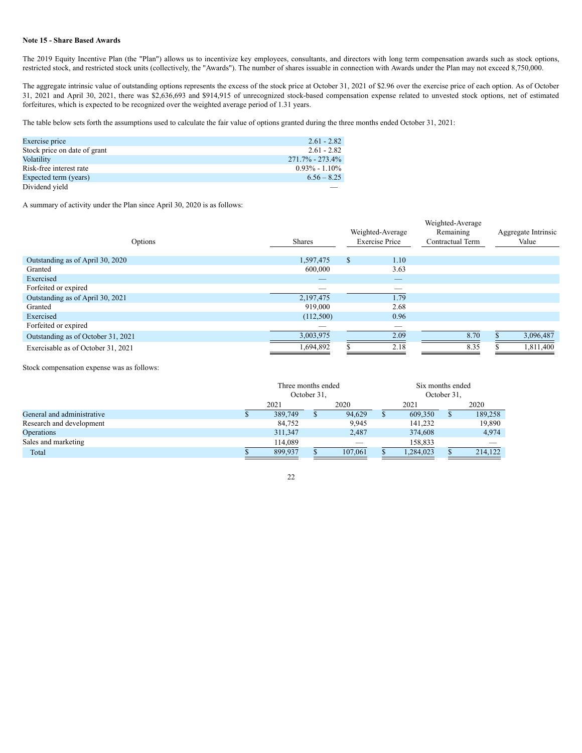# **Note 15 - Share Based Awards**

The 2019 Equity Incentive Plan (the "Plan") allows us to incentivize key employees, consultants, and directors with long term compensation awards such as stock options, restricted stock, and restricted stock units (collectively, the "Awards"). The number of shares issuable in connection with Awards under the Plan may not exceed 8,750,000.

The aggregate intrinsic value of outstanding options represents the excess of the stock price at October 31, 2021 of \$2.96 over the exercise price of each option. As of October 31, 2021 and April 30, 2021, there was \$2,636,693 and \$914,915 of unrecognized stock-based compensation expense related to unvested stock options, net of estimated forfeitures, which is expected to be recognized over the weighted average period of 1.31 years.

The table below sets forth the assumptions used to calculate the fair value of options granted during the three months ended October 31, 2021:

| Exercise price               | $2.61 - 2.82$       |
|------------------------------|---------------------|
| Stock price on date of grant | $2.61 - 2.82$       |
| Volatility                   | $271.7\% - 273.4\%$ |
| Risk-free interest rate      | $0.93\% - 1.10\%$   |
| Expected term (years)        | $6.56 - 8.25$       |
| Dividend yield               |                     |

A summary of activity under the Plan since April 30, 2020 is as follows:

| Options                            | <b>Shares</b> |     | Weighted-Average<br><b>Exercise Price</b> | Weighted-Average<br>Remaining<br>Contractual Term | Aggregate Intrinsic<br>Value |
|------------------------------------|---------------|-----|-------------------------------------------|---------------------------------------------------|------------------------------|
| Outstanding as of April 30, 2020   | 1,597,475     | \$. | 1.10                                      |                                                   |                              |
| Granted                            | 600,000       |     | 3.63                                      |                                                   |                              |
| Exercised                          |               |     |                                           |                                                   |                              |
| Forfeited or expired               |               |     | __                                        |                                                   |                              |
| Outstanding as of April 30, 2021   | 2,197,475     |     | 1.79                                      |                                                   |                              |
| Granted                            | 919.000       |     | 2.68                                      |                                                   |                              |
| Exercised                          | (112,500)     |     | 0.96                                      |                                                   |                              |
| Forfeited or expired               |               |     | __                                        |                                                   |                              |
| Outstanding as of October 31, 2021 | 3,003,975     |     | 2.09                                      | 8.70                                              | 3,096,487                    |
| Exercisable as of October 31, 2021 | 1,694,892     |     | 2.18                                      | 8.35                                              | 1,811,400                    |

Stock compensation expense was as follows:

|                            | Three months ended<br>October 31. |         |  | Six months ended<br>October 31. |           |  |         |
|----------------------------|-----------------------------------|---------|--|---------------------------------|-----------|--|---------|
|                            |                                   | 2021    |  | 2020                            | 2021      |  | 2020    |
| General and administrative |                                   | 389,749 |  | 94,629                          | 609,350   |  | 189,258 |
| Research and development   |                                   | 84,752  |  | 9,945                           | 141,232   |  | 19,890  |
| Operations                 |                                   | 311,347 |  | 2,487                           | 374,608   |  | 4,974   |
| Sales and marketing        |                                   | 114,089 |  |                                 | 158,833   |  |         |
| Total                      |                                   | 899.937 |  | 107,061                         | 1,284,023 |  | 214.122 |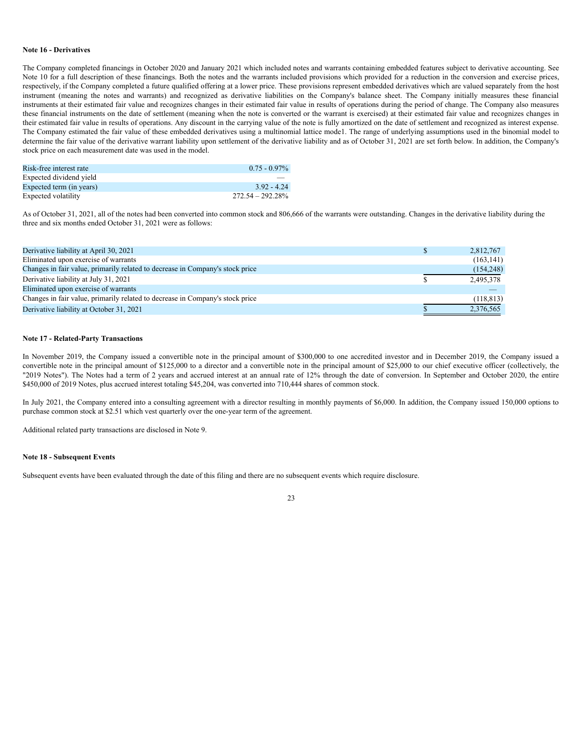#### **Note 16 - Derivatives**

The Company completed financings in October 2020 and January 2021 which included notes and warrants containing embedded features subject to derivative accounting. See Note 10 for a full description of these financings. Both the notes and the warrants included provisions which provided for a reduction in the conversion and exercise prices, respectively, if the Company completed a future qualified offering at a lower price. These provisions represent embedded derivatives which are valued separately from the host instrument (meaning the notes and warrants) and recognized as derivative liabilities on the Company's balance sheet. The Company initially measures these financial instruments at their estimated fair value and recognizes changes in their estimated fair value in results of operations during the period of change. The Company also measures these financial instruments on the date of settlement (meaning when the note is converted or the warrant is exercised) at their estimated fair value and recognizes changes in their estimated fair value in results of operations. Any discount in the carrying value of the note is fully amortized on the date of settlement and recognized as interest expense. The Company estimated the fair value of these embedded derivatives using a multinomial lattice mode1. The range of underlying assumptions used in the binomial model to determine the fair value of the derivative warrant liability upon settlement of the derivative liability and as of October 31, 2021 are set forth below. In addition, the Company's stock price on each measurement date was used in the model.

| Risk-free interest rate  | $0.75 - 0.97\%$     |
|--------------------------|---------------------|
| Expected dividend yield  |                     |
| Expected term (in years) | 392 - 424           |
| Expected volatility      | $272.54 - 292.28\%$ |

As of October 31, 2021, all of the notes had been converted into common stock and 806,666 of the warrants were outstanding. Changes in the derivative liability during the three and six months ended October 31, 2021 were as follows:

| Derivative liability at April 30, 2021                                        | 2,812,767  |
|-------------------------------------------------------------------------------|------------|
| Eliminated upon exercise of warrants                                          | (163, 141) |
| Changes in fair value, primarily related to decrease in Company's stock price | (154, 248) |
| Derivative liability at July 31, 2021                                         | 2,495,378  |
| Eliminated upon exercise of warrants                                          |            |
| Changes in fair value, primarily related to decrease in Company's stock price | (118, 813) |
| Derivative liability at October 31, 2021                                      | 2,376,565  |

### **Note 17 - Related-Party Transactions**

In November 2019, the Company issued a convertible note in the principal amount of \$300,000 to one accredited investor and in December 2019, the Company issued a convertible note in the principal amount of \$125,000 to a director and a convertible note in the principal amount of \$25,000 to our chief executive officer (collectively, the "2019 Notes"). The Notes had a term of 2 years and accrued interest at an annual rate of 12% through the date of conversion. In September and October 2020, the entire \$450,000 of 2019 Notes, plus accrued interest totaling \$45,204, was converted into 710,444 shares of common stock.

In July 2021, the Company entered into a consulting agreement with a director resulting in monthly payments of \$6,000. In addition, the Company issued 150,000 options to purchase common stock at \$2.51 which vest quarterly over the one-year term of the agreement.

Additional related party transactions are disclosed in Note 9.

### **Note 18 - Subsequent Events**

Subsequent events have been evaluated through the date of this filing and there are no subsequent events which require disclosure.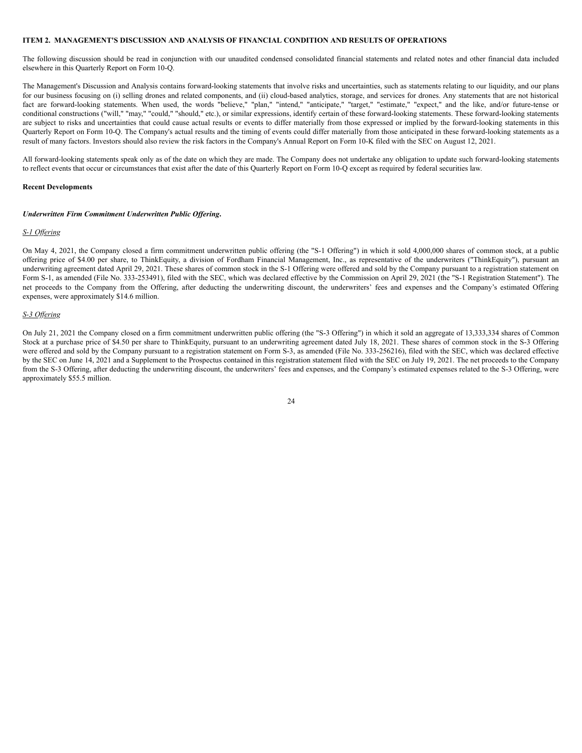# **ITEM 2. MANAGEMENT'S DISCUSSION AND ANALYSIS OF FINANCIAL CONDITION AND RESULTS OF OPERATIONS**

The following discussion should be read in conjunction with our unaudited condensed consolidated financial statements and related notes and other financial data included elsewhere in this Quarterly Report on Form 10-Q.

The Management's Discussion and Analysis contains forward-looking statements that involve risks and uncertainties, such as statements relating to our liquidity, and our plans for our business focusing on (i) selling drones and related components, and (ii) cloud-based analytics, storage, and services for drones. Any statements that are not historical fact are forward-looking statements. When used, the words "believe," "plan," "intend," "anticipate," "target," "estimate," "expect," and the like, and/or future-tense or conditional constructions ("will," "may," "could," "should," etc.), or similar expressions, identify certain of these forward-looking statements. These forward-looking statements are subject to risks and uncertainties that could cause actual results or events to differ materially from those expressed or implied by the forward-looking statements in this Quarterly Report on Form 10-Q. The Company's actual results and the timing of events could differ materially from those anticipated in these forward-looking statements as a result of many factors. Investors should also review the risk factors in the Company's Annual Report on Form 10-K filed with the SEC on August 12, 2021.

All forward-looking statements speak only as of the date on which they are made. The Company does not undertake any obligation to update such forward-looking statements to reflect events that occur or circumstances that exist after the date of this Quarterly Report on Form 10-Q except as required by federal securities law.

### **Recent Developments**

#### *Underwritten Firm Commitment Underwritten Public Of ering***.**

#### *S-1 Of ering*

On May 4, 2021, the Company closed a firm commitment underwritten public offering (the "S-1 Offering") in which it sold 4,000,000 shares of common stock, at a public offering price of \$4.00 per share, to ThinkEquity, a division of Fordham Financial Management, Inc., as representative of the underwriters ("ThinkEquity"), pursuant an underwriting agreement dated April 29, 2021. These shares of common stock in the S-1 Offering were offered and sold by the Company pursuant to a registration statement on Form S-1, as amended (File No. 333-253491), filed with the SEC, which was declared effective by the Commission on April 29, 2021 (the "S-1 Registration Statement"). The net proceeds to the Company from the Offering, after deducting the underwriting discount, the underwriters' fees and expenses and the Company's estimated Offering expenses, were approximately \$14.6 million.

#### *S-3 Of ering*

On July 21, 2021 the Company closed on a firm commitment underwritten public offering (the "S-3 Offering") in which it sold an aggregate of 13,333,334 shares of Common Stock at a purchase price of \$4.50 per share to ThinkEquity, pursuant to an underwriting agreement dated July 18, 2021. These shares of common stock in the S-3 Offering were offered and sold by the Company pursuant to a registration statement on Form S-3, as amended (File No. 333-256216), filed with the SEC, which was declared effective by the SEC on June 14, 2021 and a Supplement to the Prospectus contained in this registration statement filed with the SEC on July 19, 2021. The net proceeds to the Company from the S-3 Offering, after deducting the underwriting discount, the underwriters' fees and expenses, and the Company's estimated expenses related to the S-3 Offering, were approximately \$55.5 million.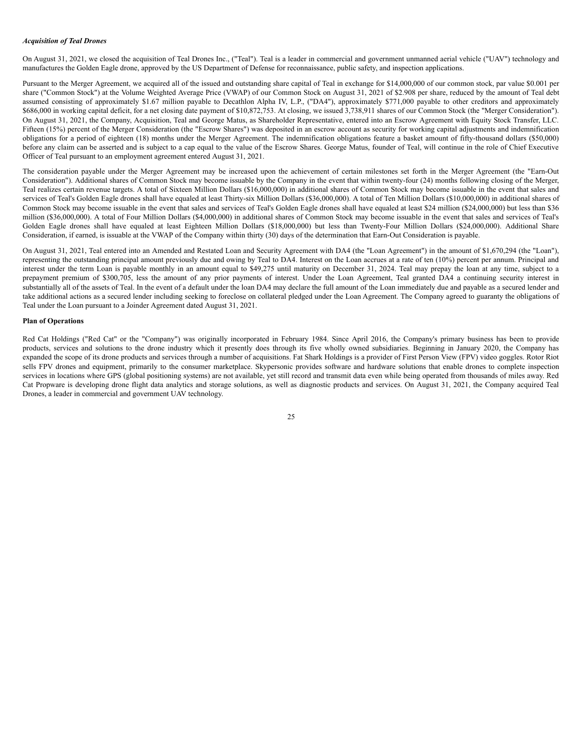### *Acquisition of Teal Drones*

On August 31, 2021, we closed the acquisition of Teal Drones Inc., ("Teal"). Teal is a leader in commercial and government unmanned aerial vehicle ("UAV") technology and manufactures the Golden Eagle drone, approved by the US Department of Defense for reconnaissance, public safety, and inspection applications.

Pursuant to the Merger Agreement, we acquired all of the issued and outstanding share capital of Teal in exchange for \$14,000,000 of our common stock, par value \$0.001 per share ("Common Stock") at the Volume Weighted Average Price (VWAP) of our Common Stock on August 31, 2021 of \$2.908 per share, reduced by the amount of Teal debt assumed consisting of approximately \$1.67 million payable to Decathlon Alpha IV, L.P., ("DA4"), approximately \$771,000 payable to other creditors and approximately \$686,000 in working capital deficit, for a net closing date payment of \$10,872,753. At closing, we issued 3,738,911 shares of our Common Stock (the "Merger Consideration"). On August 31, 2021, the Company, Acquisition, Teal and George Matus, as Shareholder Representative, entered into an Escrow Agreement with Equity Stock Transfer, LLC. Fifteen (15%) percent of the Merger Consideration (the "Escrow Shares") was deposited in an escrow account as security for working capital adjustments and indemnification obligations for a period of eighteen (18) months under the Merger Agreement. The indemnification obligations feature a basket amount of fifty-thousand dollars (\$50,000) before any claim can be asserted and is subject to a cap equal to the value of the Escrow Shares. George Matus, founder of Teal, will continue in the role of Chief Executive Officer of Teal pursuant to an employment agreement entered August 31, 2021.

The consideration payable under the Merger Agreement may be increased upon the achievement of certain milestones set forth in the Merger Agreement (the "Earn-Out Consideration"). Additional shares of Common Stock may become issuable by the Company in the event that within twenty-four (24) months following closing of the Merger, Teal realizes certain revenue targets. A total of Sixteen Million Dollars (\$16,000,000) in additional shares of Common Stock may become issuable in the event that sales and services of Teal's Golden Eagle drones shall have equaled at least Thirty-six Million Dollars (\$36,000,000). A total of Ten Million Dollars (\$10,000,000) in additional shares of Common Stock may become issuable in the event that sales and services of Teal's Golden Eagle drones shall have equaled at least \$24 million (\$24,000,000) but less than \$36 million (\$36,000,000). A total of Four Million Dollars (\$4,000,000) in additional shares of Common Stock may become issuable in the event that sales and services of Teal's Golden Eagle drones shall have equaled at least Eighteen Million Dollars (\$18,000,000) but less than Twenty-Four Million Dollars (\$24,000,000). Additional Share Consideration, if earned, is issuable at the VWAP of the Company within thirty (30) days of the determination that Earn-Out Consideration is payable.

On August 31, 2021, Teal entered into an Amended and Restated Loan and Security Agreement with DA4 (the "Loan Agreement") in the amount of \$1,670,294 (the "Loan"), representing the outstanding principal amount previously due and owing by Teal to DA4. Interest on the Loan accrues at a rate of ten (10%) percent per annum. Principal and interest under the term Loan is payable monthly in an amount equal to \$49,275 until maturity on December 31, 2024. Teal may prepay the loan at any time, subject to a prepayment premium of \$300,705, less the amount of any prior payments of interest. Under the Loan Agreement, Teal granted DA4 a continuing security interest in substantially all of the assets of Teal. In the event of a default under the loan DA4 may declare the full amount of the Loan immediately due and payable as a secured lender and take additional actions as a secured lender including seeking to foreclose on collateral pledged under the Loan Agreement. The Company agreed to guaranty the obligations of Teal under the Loan pursuant to a Joinder Agreement dated August 31, 2021.

#### **Plan of Operations**

Red Cat Holdings ("Red Cat" or the "Company") was originally incorporated in February 1984. Since April 2016, the Company's primary business has been to provide products, services and solutions to the drone industry which it presently does through its five wholly owned subsidiaries. Beginning in January 2020, the Company has expanded the scope of its drone products and services through a number of acquisitions. Fat Shark Holdings is a provider of First Person View (FPV) video goggles. Rotor Riot sells FPV drones and equipment, primarily to the consumer marketplace. Skypersonic provides software and hardware solutions that enable drones to complete inspection services in locations where GPS (global positioning systems) are not available, yet still record and transmit data even while being operated from thousands of miles away. Red Cat Propware is developing drone flight data analytics and storage solutions, as well as diagnostic products and services. On August 31, 2021, the Company acquired Teal Drones, a leader in commercial and government UAV technology.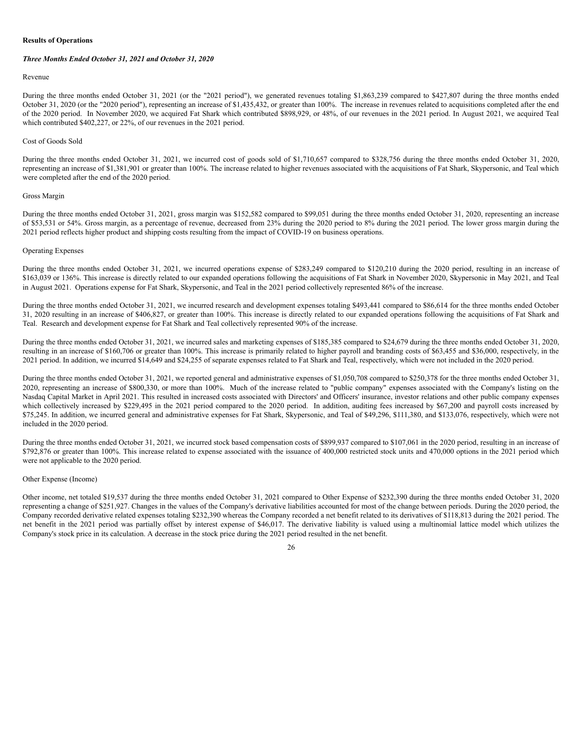# **Results of Operations**

#### *Three Months Ended October 31, 2021 and October 31, 2020*

#### Revenue

During the three months ended October 31, 2021 (or the "2021 period"), we generated revenues totaling \$1,863,239 compared to \$427,807 during the three months ended October 31, 2020 (or the "2020 period"), representing an increase of \$1,435,432, or greater than 100%. The increase in revenues related to acquisitions completed after the end of the 2020 period. In November 2020, we acquired Fat Shark which contributed \$898,929, or 48%, of our revenues in the 2021 period. In August 2021, we acquired Teal which contributed \$402,227, or 22%, of our revenues in the 2021 period.

#### Cost of Goods Sold

During the three months ended October 31, 2021, we incurred cost of goods sold of \$1,710,657 compared to \$328,756 during the three months ended October 31, 2020, representing an increase of \$1,381,901 or greater than 100%. The increase related to higher revenues associated with the acquisitions of Fat Shark, Skypersonic, and Teal which were completed after the end of the 2020 period.

#### Gross Margin

During the three months ended October 31, 2021, gross margin was \$152,582 compared to \$99,051 during the three months ended October 31, 2020, representing an increase of \$53,531 or 54%. Gross margin, as a percentage of revenue, decreased from 23% during the 2020 period to 8% during the 2021 period. The lower gross margin during the 2021 period reflects higher product and shipping costs resulting from the impact of COVID-19 on business operations.

### Operating Expenses

During the three months ended October 31, 2021, we incurred operations expense of \$283,249 compared to \$120,210 during the 2020 period, resulting in an increase of \$163,039 or 136%. This increase is directly related to our expanded operations following the acquisitions of Fat Shark in November 2020, Skypersonic in May 2021, and Teal in August 2021. Operations expense for Fat Shark, Skypersonic, and Teal in the 2021 period collectively represented 86% of the increase.

During the three months ended October 31, 2021, we incurred research and development expenses totaling \$493,441 compared to \$86,614 for the three months ended October 31, 2020 resulting in an increase of \$406,827, or greater than 100%. This increase is directly related to our expanded operations following the acquisitions of Fat Shark and Teal. Research and development expense for Fat Shark and Teal collectively represented 90% of the increase.

During the three months ended October 31, 2021, we incurred sales and marketing expenses of \$185,385 compared to \$24,679 during the three months ended October 31, 2020, resulting in an increase of \$160,706 or greater than 100%. This increase is primarily related to higher payroll and branding costs of \$63,455 and \$36,000, respectively, in the 2021 period. In addition, we incurred \$14,649 and \$24,255 of separate expenses related to Fat Shark and Teal, respectively, which were not included in the 2020 period.

During the three months ended October 31, 2021, we reported general and administrative expenses of \$1,050,708 compared to \$250,378 for the three months ended October 31, 2020, representing an increase of \$800,330, or more than 100%. Much of the increase related to "public company" expenses associated with the Company's listing on the Nasdaq Capital Market in April 2021. This resulted in increased costs associated with Directors' and Officers' insurance, investor relations and other public company expenses which collectively increased by \$229,495 in the 2021 period compared to the 2020 period. In addition, auditing fees increased by \$67,200 and payroll costs increased by \$75,245. In addition, we incurred general and administrative expenses for Fat Shark, Skypersonic, and Teal of \$49,296, \$111,380, and \$133,076, respectively, which were not included in the 2020 period.

During the three months ended October 31, 2021, we incurred stock based compensation costs of \$899,937 compared to \$107,061 in the 2020 period, resulting in an increase of \$792,876 or greater than 100%. This increase related to expense associated with the issuance of 400,000 restricted stock units and 470,000 options in the 2021 period which were not applicable to the 2020 period.

#### Other Expense (Income)

Other income, net totaled \$19,537 during the three months ended October 31, 2021 compared to Other Expense of \$232,390 during the three months ended October 31, 2020 representing a change of \$251,927. Changes in the values of the Company's derivative liabilities accounted for most of the change between periods. During the 2020 period, the Company recorded derivative related expenses totaling \$232,390 whereas the Company recorded a net benefit related to its derivatives of \$118,813 during the 2021 period. The net benefit in the 2021 period was partially offset by interest expense of \$46,017. The derivative liability is valued using a multinomial lattice model which utilizes the Company's stock price in its calculation. A decrease in the stock price during the 2021 period resulted in the net benefit.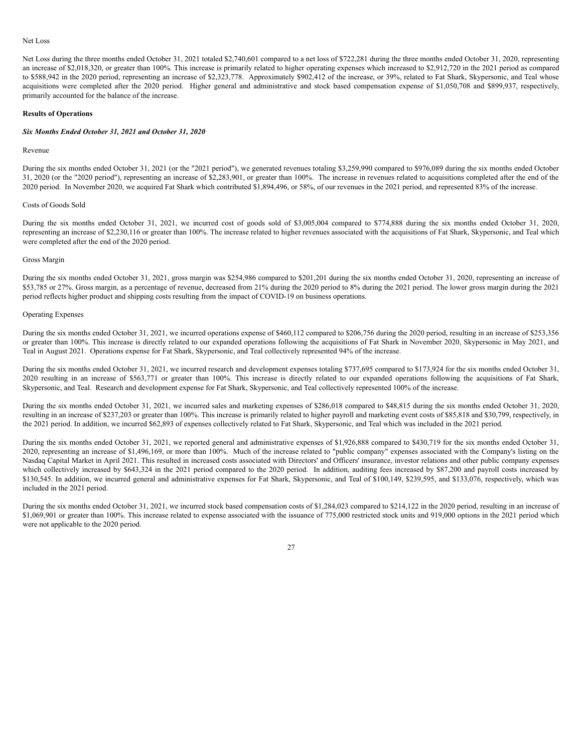# Net Loss

Net Loss during the three months ended October 31, 2021 totaled \$2,740,601 compared to a net loss of \$722,281 during the three months ended October 31, 2020, representing an increase of \$2,018,320, or greater than 100%. This increase is primarily related to higher operating expenses which increased to \$2,912,720 in the 2021 period as compared to \$588,942 in the 2020 period, representing an increase of \$2,323,778. Approximately \$902,412 of the increase, or 39%, related to Fat Shark, Skypersonic, and Teal whose acquisitions were completed after the 2020 period. Higher general and administrative and stock based compensation expense of \$1,050,708 and \$899,937, respectively, primarily accounted for the balance of the increase.

### **Results of Operations**

#### *Six Months Ended October 31, 2021 and October 31, 2020*

## Revenue

During the six months ended October 31, 2021 (or the "2021 period"), we generated revenues totaling \$3,259,990 compared to \$976,089 during the six months ended October 31, 2020 (or the "2020 period"), representing an increase of \$2,283,901, or greater than 100%. The increase in revenues related to acquisitions completed after the end of the 2020 period. In November 2020, we acquired Fat Shark which contributed \$1,894,496, or 58%, of our revenues in the 2021 period, and represented 83% of the increase.

#### Costs of Goods Sold

During the six months ended October 31, 2021, we incurred cost of goods sold of \$3,005,004 compared to \$774,888 during the six months ended October 31, 2020, representing an increase of \$2,230,116 or greater than 100%. The increase related to higher revenues associated with the acquisitions of Fat Shark, Skypersonic, and Teal which were completed after the end of the 2020 period.

### Gross Margin

During the six months ended October 31, 2021, gross margin was \$254,986 compared to \$201,201 during the six months ended October 31, 2020, representing an increase of \$53,785 or 27%. Gross margin, as a percentage of revenue, decreased from 21% during the 2020 period to 8% during the 2021 period. The lower gross margin during the 2021 period reflects higher product and shipping costs resulting from the impact of COVID-19 on business operations.

#### Operating Expenses

During the six months ended October 31, 2021, we incurred operations expense of \$460,112 compared to \$206,756 during the 2020 period, resulting in an increase of \$253,356 or greater than 100%. This increase is directly related to our expanded operations following the acquisitions of Fat Shark in November 2020, Skypersonic in May 2021, and Teal in August 2021. Operations expense for Fat Shark, Skypersonic, and Teal collectively represented 94% of the increase.

During the six months ended October 31, 2021, we incurred research and development expenses totaling \$737,695 compared to \$173,924 for the six months ended October 31, 2020 resulting in an increase of \$563,771 or greater than 100%. This increase is directly related to our expanded operations following the acquisitions of Fat Shark, Skypersonic, and Teal. Research and development expense for Fat Shark, Skypersonic, and Teal collectively represented 100% of the increase.

During the six months ended October 31, 2021, we incurred sales and marketing expenses of \$286,018 compared to \$48,815 during the six months ended October 31, 2020, resulting in an increase of \$237,203 or greater than 100%. This increase is primarily related to higher payroll and marketing event costs of \$85,818 and \$30,799, respectively, in the 2021 period. In addition, we incurred \$62,893 of expenses collectively related to Fat Shark, Skypersonic, and Teal which was included in the 2021 period.

During the six months ended October 31, 2021, we reported general and administrative expenses of \$1,926,888 compared to \$430,719 for the six months ended October 31, 2020, representing an increase of \$1,496,169, or more than 100%. Much of the increase related to "public company" expenses associated with the Company's listing on the Nasdaq Capital Market in April 2021. This resulted in increased costs associated with Directors' and Officers' insurance, investor relations and other public company expenses which collectively increased by \$643,324 in the 2021 period compared to the 2020 period. In addition, auditing fees increased by \$87,200 and payroll costs increased by \$130,545. In addition, we incurred general and administrative expenses for Fat Shark, Skypersonic, and Teal of \$100,149, \$239,595, and \$133,076, respectively, which was included in the 2021 period.

During the six months ended October 31, 2021, we incurred stock based compensation costs of \$1,284,023 compared to \$214,122 in the 2020 period, resulting in an increase of \$1,069,901 or greater than 100%. This increase related to expense associated with the issuance of 775,000 restricted stock units and 919,000 options in the 2021 period which were not applicable to the 2020 period.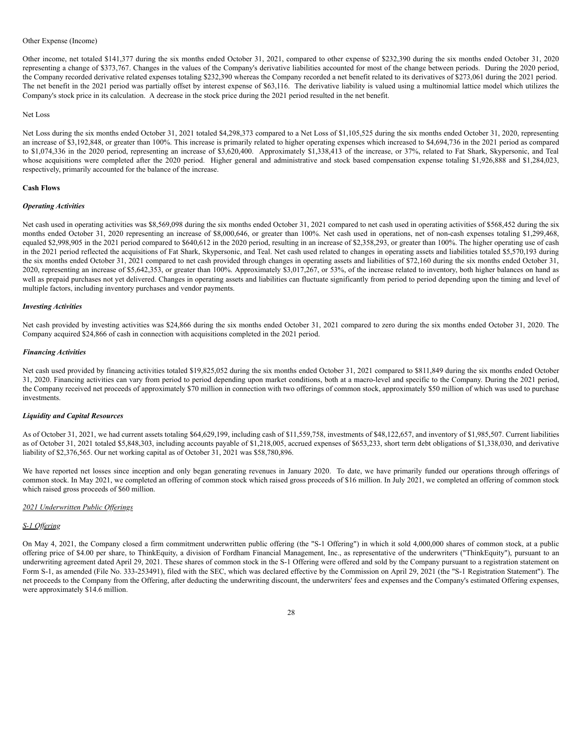### Other Expense (Income)

Other income, net totaled \$141,377 during the six months ended October 31, 2021, compared to other expense of \$232,390 during the six months ended October 31, 2020 representing a change of \$373,767. Changes in the values of the Company's derivative liabilities accounted for most of the change between periods. During the 2020 period, the Company recorded derivative related expenses totaling \$232,390 whereas the Company recorded a net benefit related to its derivatives of \$273,061 during the 2021 period. The net benefit in the 2021 period was partially offset by interest expense of \$63,116. The derivative liability is valued using a multinomial lattice model which utilizes the Company's stock price in its calculation. A decrease in the stock price during the 2021 period resulted in the net benefit.

#### Net Loss

Net Loss during the six months ended October 31, 2021 totaled \$4,298,373 compared to a Net Loss of \$1,105,525 during the six months ended October 31, 2020, representing an increase of \$3,192,848, or greater than 100%. This increase is primarily related to higher operating expenses which increased to \$4,694,736 in the 2021 period as compared to \$1,074,336 in the 2020 period, representing an increase of \$3,620,400. Approximately \$1,338,413 of the increase, or 37%, related to Fat Shark, Skypersonic, and Teal whose acquisitions were completed after the 2020 period. Higher general and administrative and stock based compensation expense totaling \$1,926,888 and \$1,284,023, respectively, primarily accounted for the balance of the increase.

### **Cash Flows**

#### *Operating Activities*

Net cash used in operating activities was \$8,569,098 during the six months ended October 31, 2021 compared to net cash used in operating activities of \$568,452 during the six months ended October 31, 2020 representing an increase of \$8,000,646, or greater than 100%. Net cash used in operations, net of non-cash expenses totaling \$1,299,468, equaled \$2,998,905 in the 2021 period compared to \$640,612 in the 2020 period, resulting in an increase of \$2,358,293, or greater than 100%. The higher operating use of cash in the 2021 period reflected the acquisitions of Fat Shark, Skypersonic, and Teal. Net cash used related to changes in operating assets and liabilities totaled \$5,570,193 during the six months ended October 31, 2021 compared to net cash provided through changes in operating assets and liabilities of \$72,160 during the six months ended October 31, 2020, representing an increase of \$5,642,353, or greater than 100%. Approximately \$3,017,267, or 53%, of the increase related to inventory, both higher balances on hand as well as prepaid purchases not yet delivered. Changes in operating assets and liabilities can fluctuate significantly from period to period depending upon the timing and level of multiple factors, including inventory purchases and vendor payments.

#### *Investing Activities*

Net cash provided by investing activities was \$24,866 during the six months ended October 31, 2021 compared to zero during the six months ended October 31, 2020. The Company acquired \$24,866 of cash in connection with acquisitions completed in the 2021 period.

### *Financing Activities*

Net cash used provided by financing activities totaled \$19,825,052 during the six months ended October 31, 2021 compared to \$811,849 during the six months ended October 31, 2020. Financing activities can vary from period to period depending upon market conditions, both at a macro-level and specific to the Company. During the 2021 period, the Company received net proceeds of approximately \$70 million in connection with two offerings of common stock, approximately \$50 million of which was used to purchase investments.

#### *Liquidity and Capital Resources*

As of October 31, 2021, we had current assets totaling \$64,629,199, including cash of \$11,559,758, investments of \$48,122,657, and inventory of \$1,985,507. Current liabilities as of October 31, 2021 totaled \$5,848,303, including accounts payable of \$1,218,005, accrued expenses of \$653,233, short term debt obligations of \$1,338,030, and derivative liability of \$2,376,565. Our net working capital as of October 31, 2021 was \$58,780,896.

We have reported net losses since inception and only began generating revenues in January 2020. To date, we have primarily funded our operations through offerings of common stock. In May 2021, we completed an offering of common stock which raised gross proceeds of \$16 million. In July 2021, we completed an offering of common stock which raised gross proceeds of \$60 million.

## *2021 Underwritten Public Of erings*

#### *S-1 Of ering*

On May 4, 2021, the Company closed a firm commitment underwritten public offering (the "S-1 Offering") in which it sold 4,000,000 shares of common stock, at a public offering price of \$4.00 per share, to ThinkEquity, a division of Fordham Financial Management, Inc., as representative of the underwriters ("ThinkEquity"), pursuant to an underwriting agreement dated April 29, 2021. These shares of common stock in the S-1 Offering were offered and sold by the Company pursuant to a registration statement on Form S-1, as amended (File No. 333-253491), filed with the SEC, which was declared effective by the Commission on April 29, 2021 (the "S-1 Registration Statement"). The net proceeds to the Company from the Offering, after deducting the underwriting discount, the underwriters' fees and expenses and the Company's estimated Offering expenses, were approximately \$14.6 million.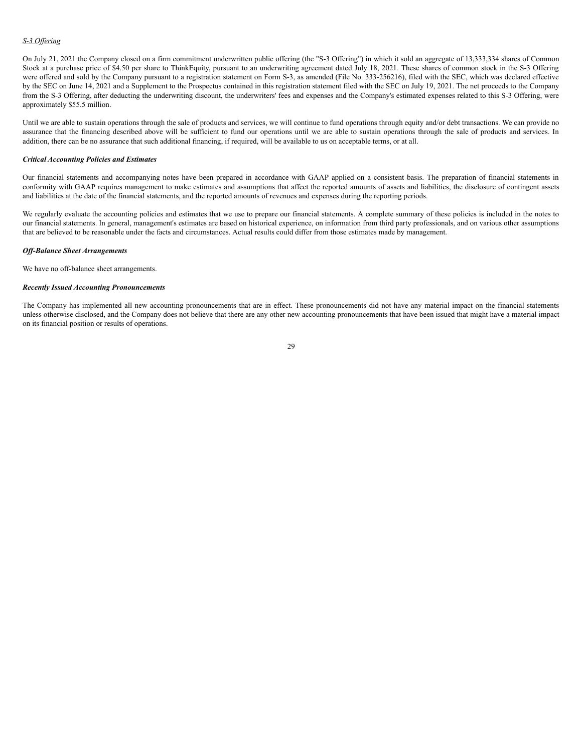# *S-3 Of ering*

On July 21, 2021 the Company closed on a firm commitment underwritten public offering (the "S-3 Offering") in which it sold an aggregate of 13,333,334 shares of Common Stock at a purchase price of \$4.50 per share to ThinkEquity, pursuant to an underwriting agreement dated July 18, 2021. These shares of common stock in the S-3 Offering were offered and sold by the Company pursuant to a registration statement on Form S-3, as amended (File No. 333-256216), filed with the SEC, which was declared effective by the SEC on June 14, 2021 and a Supplement to the Prospectus contained in this registration statement filed with the SEC on July 19, 2021. The net proceeds to the Company from the S-3 Offering, after deducting the underwriting discount, the underwriters' fees and expenses and the Company's estimated expenses related to this S-3 Offering, were approximately \$55.5 million.

Until we are able to sustain operations through the sale of products and services, we will continue to fund operations through equity and/or debt transactions. We can provide no assurance that the financing described above will be sufficient to fund our operations until we are able to sustain operations through the sale of products and services. In addition, there can be no assurance that such additional financing, if required, will be available to us on acceptable terms, or at all.

### *Critical Accounting Policies and Estimates*

Our financial statements and accompanying notes have been prepared in accordance with GAAP applied on a consistent basis. The preparation of financial statements in conformity with GAAP requires management to make estimates and assumptions that affect the reported amounts of assets and liabilities, the disclosure of contingent assets and liabilities at the date of the financial statements, and the reported amounts of revenues and expenses during the reporting periods.

We regularly evaluate the accounting policies and estimates that we use to prepare our financial statements. A complete summary of these policies is included in the notes to our financial statements. In general, management's estimates are based on historical experience, on information from third party professionals, and on various other assumptions that are believed to be reasonable under the facts and circumstances. Actual results could differ from those estimates made by management.

#### *Of -Balance Sheet Arrangements*

We have no off-balance sheet arrangements.

### *Recently Issued Accounting Pronouncements*

The Company has implemented all new accounting pronouncements that are in effect. These pronouncements did not have any material impact on the financial statements unless otherwise disclosed, and the Company does not believe that there are any other new accounting pronouncements that have been issued that might have a material impact on its financial position or results of operations.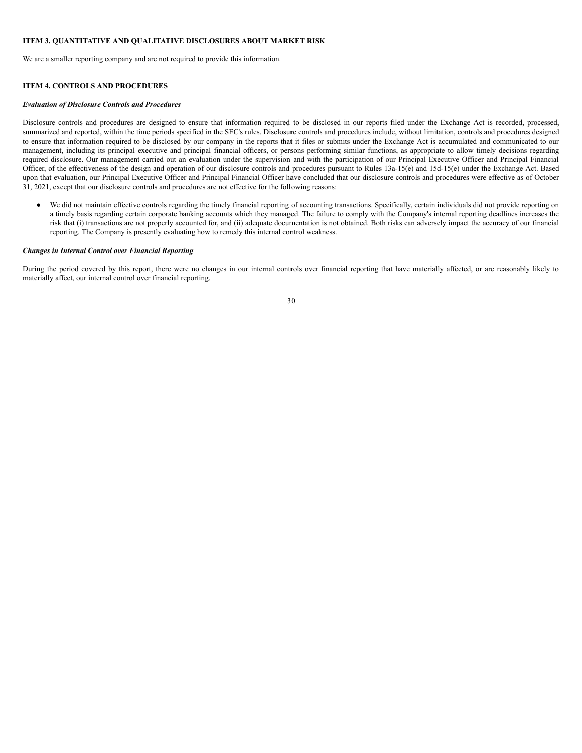# **ITEM 3. QUANTITATIVE AND QUALITATIVE DISCLOSURES ABOUT MARKET RISK**

We are a smaller reporting company and are not required to provide this information.

# **ITEM 4. CONTROLS AND PROCEDURES**

### *Evaluation of Disclosure Controls and Procedures*

Disclosure controls and procedures are designed to ensure that information required to be disclosed in our reports filed under the Exchange Act is recorded, processed, summarized and reported, within the time periods specified in the SEC's rules. Disclosure controls and procedures include, without limitation, controls and procedures designed to ensure that information required to be disclosed by our company in the reports that it files or submits under the Exchange Act is accumulated and communicated to our management, including its principal executive and principal financial officers, or persons performing similar functions, as appropriate to allow timely decisions regarding required disclosure. Our management carried out an evaluation under the supervision and with the participation of our Principal Executive Officer and Principal Financial Officer, of the effectiveness of the design and operation of our disclosure controls and procedures pursuant to Rules 13a-15(e) and 15d-15(e) under the Exchange Act. Based upon that evaluation, our Principal Executive Officer and Principal Financial Officer have concluded that our disclosure controls and procedures were effective as of October 31, 2021, except that our disclosure controls and procedures are not effective for the following reasons:

● We did not maintain effective controls regarding the timely financial reporting of accounting transactions. Specifically, certain individuals did not provide reporting on a timely basis regarding certain corporate banking accounts which they managed. The failure to comply with the Company's internal reporting deadlines increases the risk that (i) transactions are not properly accounted for, and (ii) adequate documentation is not obtained. Both risks can adversely impact the accuracy of our financial reporting. The Company is presently evaluating how to remedy this internal control weakness.

#### *Changes in Internal Control over Financial Reporting*

During the period covered by this report, there were no changes in our internal controls over financial reporting that have materially affected, or are reasonably likely to materially affect, our internal control over financial reporting.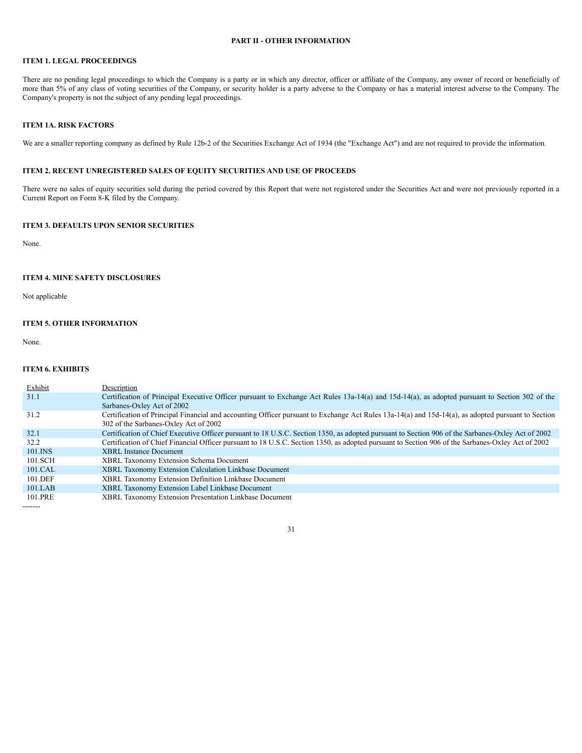# **PART II - OTHER INFORMATION**

# **ITEM 1. LEGAL PROCEEDINGS**

There are no pending legal proceedings to which the Company is a party or in which any director, officer or affiliate of the Company, any owner of record or beneficially of more than 5% of any class of voting securities of the Company, or security holder is a party adverse to the Company or has a material interest adverse to the Company. The Company's property is not the subject of any pending legal proceedings.

# **ITEM 1A. RISK FACTORS**

We are a smaller reporting company as defined by Rule 12b-2 of the Securities Exchange Act of 1934 (the "Exchange Act") and are not required to provide the information.

# **ITEM 2. RECENT UNREGISTERED SALES OF EQUITY SECURITIES AND USE OF PROCEEDS**

There were no sales of equity securities sold during the period covered by this Report that were not registered under the Securities Act and were not previously reported in a Current Report on Form 8-K filed by the Company.

# **ITEM 3. DEFAULTS UPON SENIOR SECURITIES**

None.

# **ITEM 4. MINE SAFETY DISCLOSURES**

Not applicable

# **ITEM 5. OTHER INFORMATION**

None.

### **ITEM 6. EXHIBITS**

| Exhibit   | Description                                                                                                                                        |
|-----------|----------------------------------------------------------------------------------------------------------------------------------------------------|
| 31.1      | Certification of Principal Executive Officer pursuant to Exchange Act Rules 13a-14(a) and 15d-14(a), as adopted pursuant to Section 302 of the     |
|           | Sarbanes-Oxley Act of 2002                                                                                                                         |
| 31.2      | Certification of Principal Financial and accounting Officer pursuant to Exchange Act Rules 13a-14(a) and 15d-14(a), as adopted pursuant to Section |
|           | 302 of the Sarbanes-Oxley Act of 2002                                                                                                              |
| 32.1      | Certification of Chief Executive Officer pursuant to 18 U.S.C. Section 1350, as adopted pursuant to Section 906 of the Sarbanes-Oxley Act of 2002  |
| 32.2      | Certification of Chief Financial Officer pursuant to 18 U.S.C. Section 1350, as adopted pursuant to Section 906 of the Sarbanes-Oxley Act of 2002  |
| 101.INS   | <b>XBRL</b> Instance Document                                                                                                                      |
| 101.SCH   | <b>XBRL Taxonomy Extension Schema Document</b>                                                                                                     |
| 101.CAL   | <b>XBRL Taxonomy Extension Calculation Linkbase Document</b>                                                                                       |
| 101.DEF   | XBRL Taxonomy Extension Definition Linkbase Document                                                                                               |
| $101$ LAB | XBRL Taxonomy Extension Label Linkbase Document                                                                                                    |
| 101.PRE   | XBRL Taxonomy Extension Presentation Linkbase Document                                                                                             |
| -------   |                                                                                                                                                    |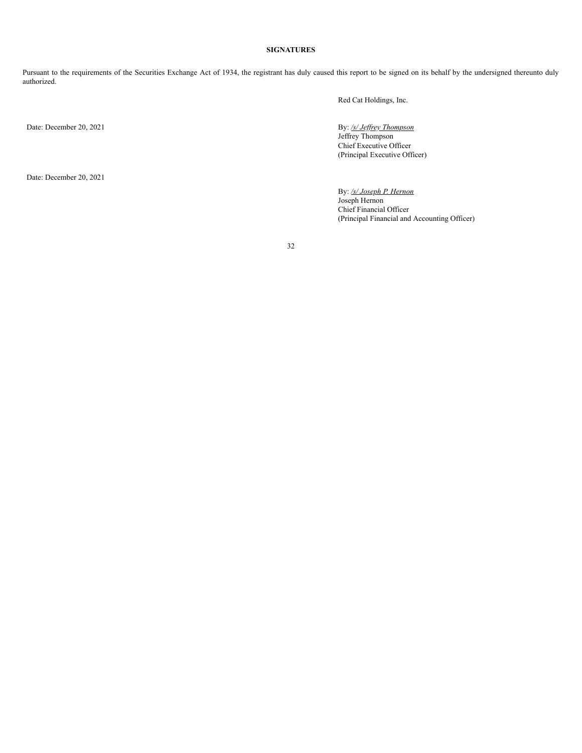# **SIGNATURES**

Pursuant to the requirements of the Securities Exchange Act of 1934, the registrant has duly caused this report to be signed on its behalf by the undersigned thereunto duly authorized.

Red Cat Holdings, Inc.

Date: December 20, 2021

Date: December 20, 2021

By: /s/ *Jeffrey Thompson* Jeffrey Thompson Chief Executive Officer (Principal Executive Officer)

By: */s/ Joseph P. Hernon* Joseph Hernon Chief Financial Officer (Principal Financial and Accounting Officer)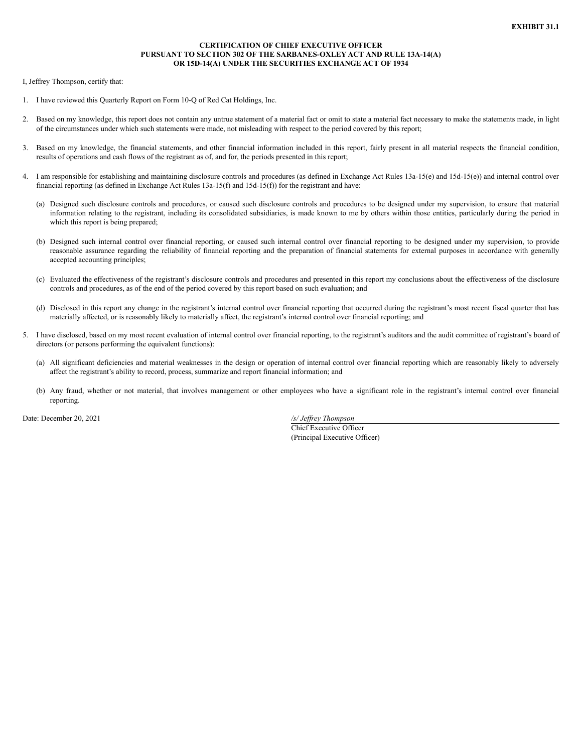# **CERTIFICATION OF CHIEF EXECUTIVE OFFICER PURSUANT TO SECTION 302 OF THE SARBANES-OXLEY ACT AND RULE 13A-14(A) OR 15D-14(A) UNDER THE SECURITIES EXCHANGE ACT OF 1934**

I, Jeffrey Thompson, certify that:

- 1. I have reviewed this Quarterly Report on Form 10-Q of Red Cat Holdings, Inc.
- 2. Based on my knowledge, this report does not contain any untrue statement of a material fact or omit to state a material fact necessary to make the statements made, in light of the circumstances under which such statements were made, not misleading with respect to the period covered by this report;
- 3. Based on my knowledge, the financial statements, and other financial information included in this report, fairly present in all material respects the financial condition, results of operations and cash flows of the registrant as of, and for, the periods presented in this report;
- 4. I am responsible for establishing and maintaining disclosure controls and procedures (as defined in Exchange Act Rules 13a-15(e) and 15d-15(e)) and internal control over financial reporting (as defined in Exchange Act Rules 13a-15(f) and 15d-15(f)) for the registrant and have:
	- (a) Designed such disclosure controls and procedures, or caused such disclosure controls and procedures to be designed under my supervision, to ensure that material information relating to the registrant, including its consolidated subsidiaries, is made known to me by others within those entities, particularly during the period in which this report is being prepared;
	- (b) Designed such internal control over financial reporting, or caused such internal control over financial reporting to be designed under my supervision, to provide reasonable assurance regarding the reliability of financial reporting and the preparation of financial statements for external purposes in accordance with generally accepted accounting principles;
	- (c) Evaluated the effectiveness of the registrant's disclosure controls and procedures and presented in this report my conclusions about the effectiveness of the disclosure controls and procedures, as of the end of the period covered by this report based on such evaluation; and
	- (d) Disclosed in this report any change in the registrant's internal control over financial reporting that occurred during the registrant's most recent fiscal quarter that has materially affected, or is reasonably likely to materially affect, the registrant's internal control over financial reporting; and
- 5. I have disclosed, based on my most recent evaluation of internal control over financial reporting, to the registrant's auditors and the audit committee of registrant's board of directors (or persons performing the equivalent functions):
	- (a) All significant deficiencies and material weaknesses in the design or operation of internal control over financial reporting which are reasonably likely to adversely affect the registrant's ability to record, process, summarize and report financial information; and
	- (b) Any fraud, whether or not material, that involves management or other employees who have a significant role in the registrant's internal control over financial reporting.

Date: December 20, 2021 */s/ Jef rey Thompson*

Chief Executive Officer (Principal Executive Officer)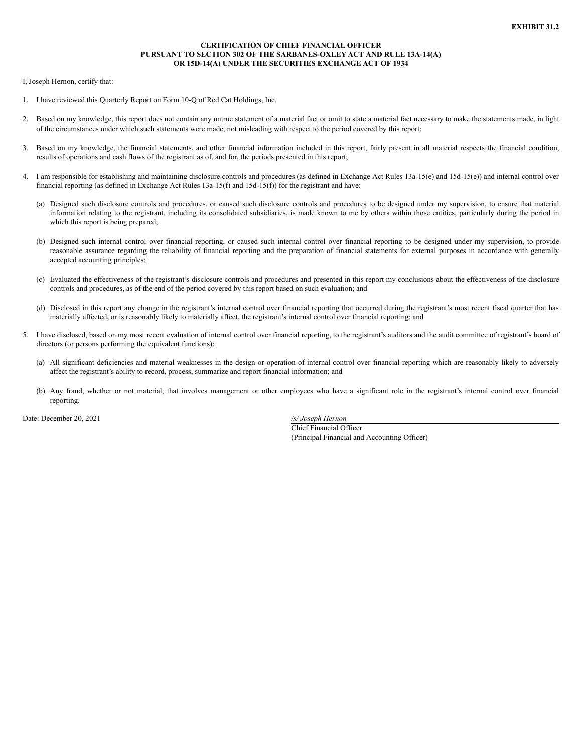# **CERTIFICATION OF CHIEF FINANCIAL OFFICER PURSUANT TO SECTION 302 OF THE SARBANES-OXLEY ACT AND RULE 13A-14(A) OR 15D-14(A) UNDER THE SECURITIES EXCHANGE ACT OF 1934**

I, Joseph Hernon, certify that:

- 1. I have reviewed this Quarterly Report on Form 10-Q of Red Cat Holdings, Inc.
- 2. Based on my knowledge, this report does not contain any untrue statement of a material fact or omit to state a material fact necessary to make the statements made, in light of the circumstances under which such statements were made, not misleading with respect to the period covered by this report;
- 3. Based on my knowledge, the financial statements, and other financial information included in this report, fairly present in all material respects the financial condition, results of operations and cash flows of the registrant as of, and for, the periods presented in this report;
- 4. I am responsible for establishing and maintaining disclosure controls and procedures (as defined in Exchange Act Rules 13a-15(e) and 15d-15(e)) and internal control over financial reporting (as defined in Exchange Act Rules 13a-15(f) and 15d-15(f)) for the registrant and have:
	- (a) Designed such disclosure controls and procedures, or caused such disclosure controls and procedures to be designed under my supervision, to ensure that material information relating to the registrant, including its consolidated subsidiaries, is made known to me by others within those entities, particularly during the period in which this report is being prepared;
	- (b) Designed such internal control over financial reporting, or caused such internal control over financial reporting to be designed under my supervision, to provide reasonable assurance regarding the reliability of financial reporting and the preparation of financial statements for external purposes in accordance with generally accepted accounting principles;
	- (c) Evaluated the effectiveness of the registrant's disclosure controls and procedures and presented in this report my conclusions about the effectiveness of the disclosure controls and procedures, as of the end of the period covered by this report based on such evaluation; and
	- (d) Disclosed in this report any change in the registrant's internal control over financial reporting that occurred during the registrant's most recent fiscal quarter that has materially affected, or is reasonably likely to materially affect, the registrant's internal control over financial reporting; and
- 5. I have disclosed, based on my most recent evaluation of internal control over financial reporting, to the registrant's auditors and the audit committee of registrant's board of directors (or persons performing the equivalent functions):
	- (a) All significant deficiencies and material weaknesses in the design or operation of internal control over financial reporting which are reasonably likely to adversely affect the registrant's ability to record, process, summarize and report financial information; and
	- (b) Any fraud, whether or not material, that involves management or other employees who have a significant role in the registrant's internal control over financial reporting.

Date: December 20, 2021 */s/ Joseph Hernon*

Chief Financial Officer (Principal Financial and Accounting Officer)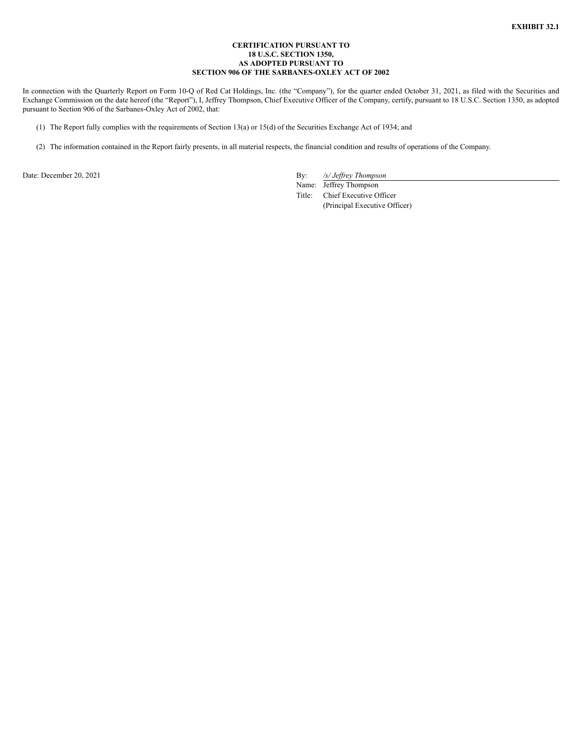### **CERTIFICATION PURSUANT TO 18 U.S.C. SECTION 1350, AS ADOPTED PURSUANT TO SECTION 906 OF THE SARBANES-OXLEY ACT OF 2002**

In connection with the Quarterly Report on Form 10-Q of Red Cat Holdings, Inc. (the "Company"), for the quarter ended October 31, 2021, as filed with the Securities and Exchange Commission on the date hereof (the "Report"), I, Jeffrey Thompson, Chief Executive Officer of the Company, certify, pursuant to 18 U.S.C. Section 1350, as adopted pursuant to Section 906 of the Sarbanes-Oxley Act of 2002, that:

- (1) The Report fully complies with the requirements of Section 13(a) or 15(d) of the Securities Exchange Act of 1934; and
- (2) The information contained in the Report fairly presents, in all material respects, the financial condition and results of operations of the Company.

Date: December 20, 2021 By: */s/ Jeffrey Thompson* 

Name: Jeffrey Thompson Title: Chief Executive Officer (Principal Executive Officer)